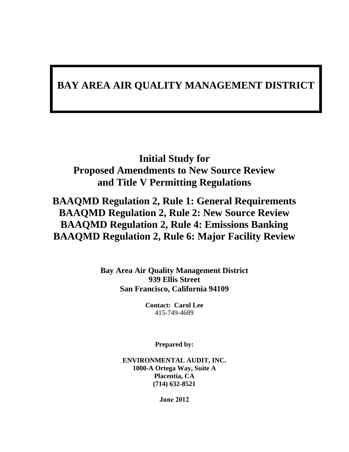## **BAY AREA AIR QUALITY MANAGEMENT DISTRICT**

## **Initial Study for Proposed Amendments to New Source Review and Title V Permitting Regulations**

## **BAAQMD Regulation 2, Rule 1: General Requirements BAAQMD Regulation 2, Rule 2: New Source Review BAAQMD Regulation 2, Rule 4: Emissions Banking BAAQMD Regulation 2, Rule 6: Major Facility Review**

**Bay Area Air Quality Management District 939 Ellis Street San Francisco, California 94109**

> **Contact: Carol Lee** 415-749-4689

> > **Prepared by:**

**ENVIRONMENTAL AUDIT, INC. 1000-A Ortega Way, Suite A Placentia, CA (714) 632-8521**

**June 2012**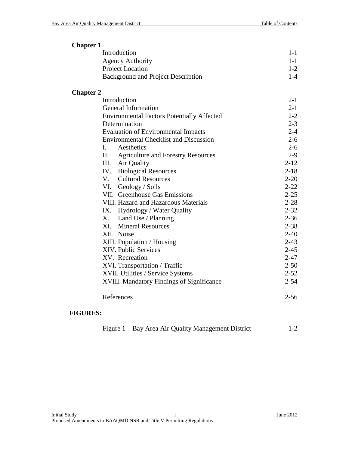| <b>Chapter 1</b> |                                                   |          |
|------------------|---------------------------------------------------|----------|
|                  | Introduction                                      | $1 - 1$  |
|                  | <b>Agency Authority</b>                           | $1 - 1$  |
|                  | Project Location                                  | $1-2$    |
|                  | <b>Background and Project Description</b>         | $1-4$    |
| <b>Chapter 2</b> |                                                   |          |
|                  | Introduction                                      | $2 - 1$  |
|                  | <b>General Information</b>                        | $2 - 1$  |
|                  | <b>Environmental Factors Potentially Affected</b> | $2 - 2$  |
|                  | Determination                                     | $2 - 3$  |
|                  | <b>Evaluation of Environmental Impacts</b>        | $2 - 4$  |
|                  | <b>Environmental Checklist and Discussion</b>     | $2 - 6$  |
|                  | I.<br>Aesthetics                                  | $2 - 6$  |
|                  | II. Agriculture and Forestry Resources            | $2-9$    |
|                  | III. Air Quality                                  | $2 - 12$ |
|                  | IV. Biological Resources                          | $2 - 18$ |
|                  | V. Cultural Resources                             | $2 - 20$ |
|                  | VI. Geology / Soils                               | $2 - 22$ |
|                  | VII. Greenhouse Gas Emissions                     | $2 - 25$ |
|                  | VIII. Hazard and Hazardous Materials              | $2 - 28$ |
|                  | IX. Hydrology / Water Quality                     | $2 - 32$ |
|                  | X. Land Use / Planning                            | $2 - 36$ |
|                  | XI. Mineral Resources                             | $2 - 38$ |
|                  | XII. Noise                                        | $2 - 40$ |
|                  | XIII. Population / Housing                        | $2 - 43$ |
|                  | XIV. Public Services                              | $2 - 45$ |
|                  | XV. Recreation                                    | $2 - 47$ |
|                  | XVI. Transportation / Traffic                     | $2 - 50$ |
|                  | XVII. Utilities / Service Systems                 | $2 - 52$ |
|                  | XVIII. Mandatory Findings of Significance         | $2 - 54$ |
|                  | References                                        | $2 - 56$ |

## **FIGURES:**

| Figure 1 – Bay Area Air Quality Management District |  |  |  | $1-2$ |
|-----------------------------------------------------|--|--|--|-------|
|-----------------------------------------------------|--|--|--|-------|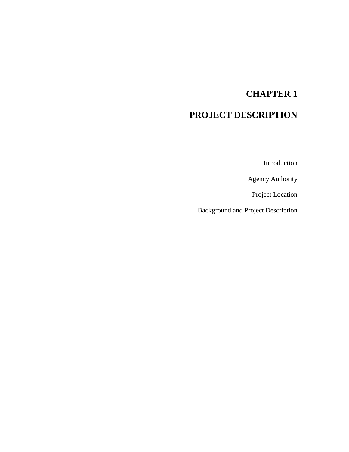# **CHAPTER 1**

## **PROJECT DESCRIPTION**

Introduction

Agency Authority

Project Location

Background and Project Description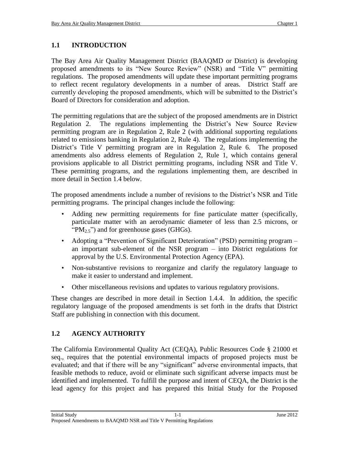## **1.1 INTRODUCTION**

The Bay Area Air Quality Management District (BAAQMD or District) is developing proposed amendments to its "New Source Review" (NSR) and "Title V" permitting regulations. The proposed amendments will update these important permitting programs to reflect recent regulatory developments in a number of areas. District Staff are currently developing the proposed amendments, which will be submitted to the District's Board of Directors for consideration and adoption.

The permitting regulations that are the subject of the proposed amendments are in District Regulation 2. The regulations implementing the District's New Source Review permitting program are in Regulation 2, Rule 2 (with additional supporting regulations related to emissions banking in Regulation 2, Rule 4). The regulations implementing the District's Title V permitting program are in Regulation 2, Rule 6. The proposed amendments also address elements of Regulation 2, Rule 1, which contains general provisions applicable to all District permitting programs, including NSR and Title V. These permitting programs, and the regulations implementing them, are described in more detail in Section 1.4 below.

The proposed amendments include a number of revisions to the District's NSR and Title permitting programs. The principal changes include the following:

- Adding new permitting requirements for fine particulate matter (specifically, particulate matter with an aerodynamic diameter of less than 2.5 microns, or " $PM_{2.5}$ ") and for greenhouse gases (GHGs).
- Adopting a "Prevention of Significant Deterioration" (PSD) permitting program an important sub-element of the NSR program – into District regulations for approval by the U.S. Environmental Protection Agency (EPA).
- Non-substantive revisions to reorganize and clarify the regulatory language to make it easier to understand and implement.
- Other miscellaneous revisions and updates to various regulatory provisions.

These changes are described in more detail in Section 1.4.4. In addition, the specific regulatory language of the proposed amendments is set forth in the drafts that District Staff are publishing in connection with this document.

## **1.2 AGENCY AUTHORITY**

The California Environmental Quality Act (CEQA), Public Resources Code § 21000 et seq., requires that the potential environmental impacts of proposed projects must be evaluated; and that if there will be any "significant" adverse environmental impacts, that feasible methods to reduce, avoid or eliminate such significant adverse impacts must be identified and implemented. To fulfill the purpose and intent of CEQA, the District is the lead agency for this project and has prepared this Initial Study for the Proposed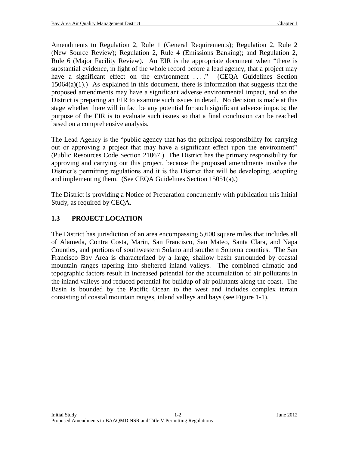Amendments to Regulation 2, Rule 1 (General Requirements); Regulation 2, Rule 2 (New Source Review); Regulation 2, Rule 4 (Emissions Banking); and Regulation 2, Rule 6 (Major Facility Review). An EIR is the appropriate document when "there is substantial evidence, in light of the whole record before a lead agency, that a project may have a significant effect on the environment ...." (CEQA Guidelines Section  $15064(a)(1)$ .) As explained in this document, there is information that suggests that the proposed amendments may have a significant adverse environmental impact, and so the District is preparing an EIR to examine such issues in detail. No decision is made at this stage whether there will in fact be any potential for such significant adverse impacts; the purpose of the EIR is to evaluate such issues so that a final conclusion can be reached based on a comprehensive analysis.

The Lead Agency is the "public agency that has the principal responsibility for carrying out or approving a project that may have a significant effect upon the environment" (Public Resources Code Section 21067.) The District has the primary responsibility for approving and carrying out this project, because the proposed amendments involve the District's permitting regulations and it is the District that will be developing, adopting and implementing them. (See CEQA Guidelines Section 15051(a).)

The District is providing a Notice of Preparation concurrently with publication this Initial Study, as required by CEQA.

## **1.3 PROJECT LOCATION**

The District has jurisdiction of an area encompassing 5,600 square miles that includes all of Alameda, Contra Costa, Marin, San Francisco, San Mateo, Santa Clara, and Napa Counties, and portions of southwestern Solano and southern Sonoma counties. The San Francisco Bay Area is characterized by a large, shallow basin surrounded by coastal mountain ranges tapering into sheltered inland valleys. The combined climatic and topographic factors result in increased potential for the accumulation of air pollutants in the inland valleys and reduced potential for buildup of air pollutants along the coast. The Basin is bounded by the Pacific Ocean to the west and includes complex terrain consisting of coastal mountain ranges, inland valleys and bays (see Figure 1-1).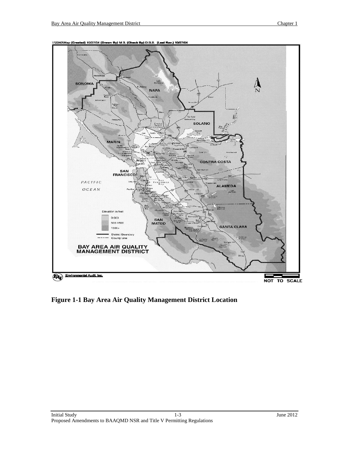

1:12240\Map (Cre ted) 10/27/04 (Drawn By) M.B. (Check By) D.B.S. (Last Rev.) 10/27/04

**Figure 1-1 Bay Area Air Quality Management District Location**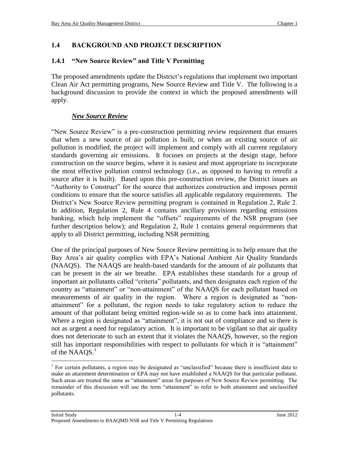## **1.4 BACKGROUND AND PROJECT DESCRIPTION**

### **1.4.1 "New Source Review" and Title V Permitting**

The proposed amendments update the District's regulations that implement two important Clean Air Act permitting programs, New Source Review and Title V. The following is a background discussion to provide the context in which the proposed amendments will apply.

### *New Source Review*

"New Source Review" is a pre-construction permitting review requirement that ensures that when a new source of air pollution is built, or when an existing source of air pollution is modified, the project will implement and comply with all current regulatory standards governing air emissions. It focuses on projects at the design stage, before construction on the source begins, where it is easiest and most appropriate to incorporate the most effective pollution control technology (i.e., as opposed to having to retrofit a source after it is built). Based upon this pre-construction review, the District issues an "Authority to Construct" for the source that authorizes construction and imposes permit conditions to ensure that the source satisfies all applicable regulatory requirements. The District's New Source Review permitting program is contained in Regulation 2, Rule 2. In addition, Regulation 2, Rule 4 contains ancillary provisions regarding emissions banking, which help implement the "offsets" requirements of the NSR program (see further description below); and Regulation 2, Rule 1 contains general requirements that apply to all District permitting, including NSR permitting.

One of the principal purposes of New Source Review permitting is to help ensure that the Bay Area's air quality complies with EPA's National Ambient Air Quality Standards (NAAQS). The NAAQS are health-based standards for the amount of air pollutants that can be present in the air we breathe. EPA establishes these standards for a group of important air pollutants called "criteria" pollutants, and then designates each region of the country as "attainment" or "non-attainment" of the NAAQS for each pollutant based on measurements of air quality in the region. Where a region is designated as "nonattainment" for a pollutant, the region needs to take regulatory action to reduce the amount of that pollutant being emitted region-wide so as to come back into attainment. Where a region is designated as "attainment", it is not out of compliance and so there is not as urgent a need for regulatory action. It is important to be vigilant so that air quality does not deteriorate to such an extent that it violates the NAAQS, however, so the region still has important responsibilities with respect to pollutants for which it is "attainment" of the NAAQS.<sup>1</sup>

 $\overline{a}$ 

<sup>&</sup>lt;sup>1</sup> For certain pollutants, a region may be designated as "unclassified" because there is insufficient data to make an attainment determination or EPA may not have established a NAAQS for that particular pollutant. Such areas are treated the same as "attainment" areas for purposes of New Source Review permitting. The remainder of this discussion will use the term "attainment" to refer to both attainment and unclassified pollutants.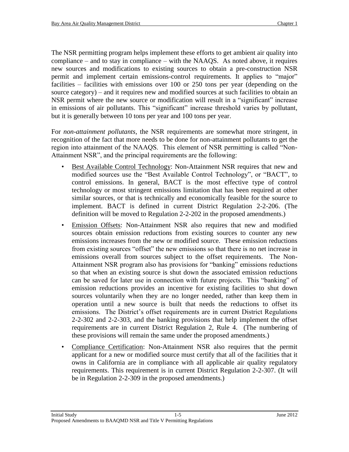The NSR permitting program helps implement these efforts to get ambient air quality into compliance – and to stay in compliance – with the NAAQS. As noted above, it requires new sources and modifications to existing sources to obtain a pre-construction NSR permit and implement certain emissions-control requirements. It applies to "major" facilities – facilities with emissions over 100 or 250 tons per year (depending on the source category) – and it requires new and modified sources at such facilities to obtain an NSR permit where the new source or modification will result in a "significant" increase in emissions of air pollutants. This "significant" increase threshold varies by pollutant, but it is generally between 10 tons per year and 100 tons per year.

For *non-attainment pollutants*, the NSR requirements are somewhat more stringent, in recognition of the fact that more needs to be done for non-attainment pollutants to get the region into attainment of the NAAQS. This element of NSR permitting is called "Non-Attainment NSR", and the principal requirements are the following:

- Best Available Control Technology: Non-Attainment NSR requires that new and modified sources use the "Best Available Control Technology", or "BACT", to control emissions. In general, BACT is the most effective type of control technology or most stringent emissions limitation that has been required at other similar sources, or that is technically and economically feasible for the source to implement. BACT is defined in current District Regulation 2-2-206. (The definition will be moved to Regulation 2-2-202 in the proposed amendments.)
- Emission Offsets: Non-Attainment NSR also requires that new and modified sources obtain emission reductions from existing sources to counter any new emissions increases from the new or modified source. These emission reductions from existing sources "offset" the new emissions so that there is no net increase in emissions overall from sources subject to the offset requirements. The Non-Attainment NSR program also has provisions for "banking" emissions reductions so that when an existing source is shut down the associated emission reductions can be saved for later use in connection with future projects. This "banking" of emission reductions provides an incentive for existing facilities to shut down sources voluntarily when they are no longer needed, rather than keep them in operation until a new source is built that needs the reductions to offset its emissions. The District's offset requirements are in current District Regulations 2-2-302 and 2-2-303, and the banking provisions that help implement the offset requirements are in current District Regulation 2, Rule 4. (The numbering of these provisions will remain the same under the proposed amendments.)
- Compliance Certification: Non-Attainment NSR also requires that the permit applicant for a new or modified source must certify that all of the facilities that it owns in California are in compliance with all applicable air quality regulatory requirements. This requirement is in current District Regulation 2-2-307. (It will be in Regulation 2-2-309 in the proposed amendments.)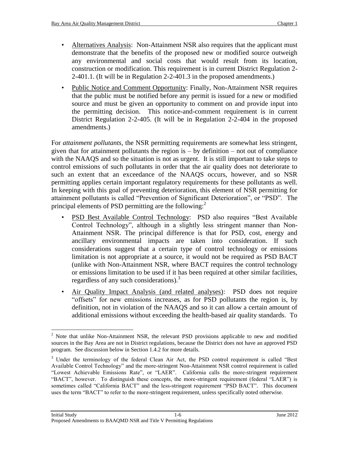- Alternatives Analysis: Non-Attainment NSR also requires that the applicant must demonstrate that the benefits of the proposed new or modified source outweigh any environmental and social costs that would result from its location, construction or modification. This requirement is in current District Regulation 2- 2-401.1. (It will be in Regulation 2-2-401.3 in the proposed amendments.)
- Public Notice and Comment Opportunity: Finally, Non-Attainment NSR requires that the public must be notified before any permit is issued for a new or modified source and must be given an opportunity to comment on and provide input into the permitting decision. This notice-and-comment requirement is in current District Regulation 2-2-405. (It will be in Regulation 2-2-404 in the proposed amendments.)

For *attainment pollutants*, the NSR permitting requirements are somewhat less stringent, given that for attainment pollutants the region is  $-$  by definition  $-$  not out of compliance with the NAAQS and so the situation is not as urgent. It is still important to take steps to control emissions of such pollutants in order that the air quality does not deteriorate to such an extent that an exceedance of the NAAQS occurs, however, and so NSR permitting applies certain important regulatory requirements for these pollutants as well. In keeping with this goal of preventing deterioration, this element of NSR permitting for attainment pollutants is called "Prevention of Significant Deterioration", or "PSD". The principal elements of PSD permitting are the following:<sup>2</sup>

- PSD Best Available Control Technology: PSD also requires "Best Available Control Technology", although in a slightly less stringent manner than Non-Attainment NSR. The principal difference is that for PSD, cost, energy and ancillary environmental impacts are taken into consideration. If such considerations suggest that a certain type of control technology or emissions limitation is not appropriate at a source, it would not be required as PSD BACT (unlike with Non-Attainment NSR, where BACT requires the control technology or emissions limitation to be used if it has been required at other similar facilities, regardless of any such considerations).<sup>3</sup>
- Air Quality Impact Analysis (and related analyses): PSD does not require "offsets" for new emissions increases, as for PSD pollutants the region is, by definition, not in violation of the NAAQS and so it can allow a certain amount of additional emissions without exceeding the health-based air quality standards. To

 $\overline{a}$ <sup>2</sup> Note that unlike Non-Attainment NSR, the relevant PSD provisions applicable to new and modified sources in the Bay Area are not in District regulations, because the District does not have an approved PSD program. See discussion below in Section 1.4.2 for more details.

 $3$  Under the terminology of the federal Clean Air Act, the PSD control requirement is called "Best" Available Control Technology" and the more-stringent Non-Attainment NSR control requirement is called "Lowest Achievable Emissions Rate", or "LAER". California calls the more-stringent requirement "BACT", however. To distinguish these concepts, the more-stringent requirement (federal "LAER") is sometimes called "California BACT" and the less-stringent requirement "PSD BACT". This document uses the term "BACT" to refer to the more-stringent requirement, unless specifically noted otherwise.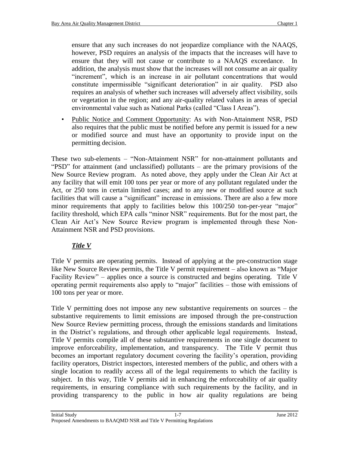ensure that any such increases do not jeopardize compliance with the NAAQS, however, PSD requires an analysis of the impacts that the increases will have to ensure that they will not cause or contribute to a NAAQS exceedance. In addition, the analysis must show that the increases will not consume an air quality "increment", which is an increase in air pollutant concentrations that would constitute impermissible "significant deterioration" in air quality. PSD also requires an analysis of whether such increases will adversely affect visibility, soils or vegetation in the region; and any air-quality related values in areas of special environmental value such as National Parks (called "Class I Areas").

• Public Notice and Comment Opportunity: As with Non-Attainment NSR, PSD also requires that the public must be notified before any permit is issued for a new or modified source and must have an opportunity to provide input on the permitting decision.

These two sub-elements – "Non-Attainment NSR" for non-attainment pollutants and "PSD" for attainment (and unclassified) pollutants – are the primary provisions of the New Source Review program. As noted above, they apply under the Clean Air Act at any facility that will emit 100 tons per year or more of any pollutant regulated under the Act, or 250 tons in certain limited cases; and to any new or modified source at such facilities that will cause a "significant" increase in emissions. There are also a few more minor requirements that apply to facilities below this  $100/250$  ton-per-year "major" facility threshold, which EPA calls "minor NSR" requirements. But for the most part, the Clean Air Act's New Source Review program is implemented through these Non-Attainment NSR and PSD provisions.

## *Title V*

Title V permits are operating permits. Instead of applying at the pre-construction stage like New Source Review permits, the Title V permit requirement – also known as "Major Facility Review" – applies once a source is constructed and begins operating. Title V operating permit requirements also apply to "major" facilities – those with emissions of 100 tons per year or more.

Title V permitting does not impose any new substantive requirements on sources – the substantive requirements to limit emissions are imposed through the pre-construction New Source Review permitting process, through the emissions standards and limitations in the District's regulations, and through other applicable legal requirements. Instead, Title V permits compile all of these substantive requirements in one single document to improve enforceability, implementation, and transparency. The Title V permit thus becomes an important regulatory document covering the facility's operation, providing facility operators, District inspectors, interested members of the public, and others with a single location to readily access all of the legal requirements to which the facility is subject. In this way, Title V permits aid in enhancing the enforceability of air quality requirements, in ensuring compliance with such requirements by the facility, and in providing transparency to the public in how air quality regulations are being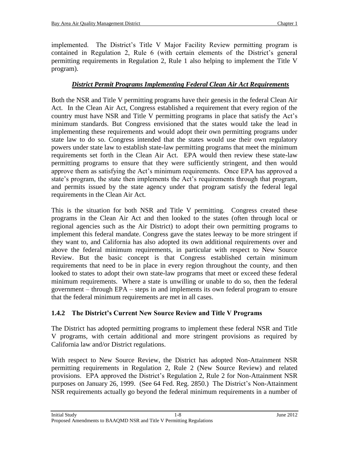implemented. The District's Title V Major Facility Review permitting program is contained in Regulation 2, Rule 6 (with certain elements of the District's general permitting requirements in Regulation 2, Rule 1 also helping to implement the Title V program).

## *District Permit Programs Implementing Federal Clean Air Act Requirements*

Both the NSR and Title V permitting programs have their genesis in the federal Clean Air Act. In the Clean Air Act, Congress established a requirement that every region of the country must have NSR and Title V permitting programs in place that satisfy the Act's minimum standards. But Congress envisioned that the states would take the lead in implementing these requirements and would adopt their own permitting programs under state law to do so. Congress intended that the states would use their own regulatory powers under state law to establish state-law permitting programs that meet the minimum requirements set forth in the Clean Air Act. EPA would then review these state-law permitting programs to ensure that they were sufficiently stringent, and then would approve them as satisfying the Act's minimum requirements. Once EPA has approved a state's program, the state then implements the Act's requirements through that program, and permits issued by the state agency under that program satisfy the federal legal requirements in the Clean Air Act.

This is the situation for both NSR and Title V permitting. Congress created these programs in the Clean Air Act and then looked to the states (often through local or regional agencies such as the Air District) to adopt their own permitting programs to implement this federal mandate. Congress gave the states leeway to be more stringent if they want to, and California has also adopted its own additional requirements over and above the federal minimum requirements, in particular with respect to New Source Review. But the basic concept is that Congress established certain minimum requirements that need to be in place in every region throughout the county, and then looked to states to adopt their own state-law programs that meet or exceed these federal minimum requirements. Where a state is unwilling or unable to do so, then the federal government – through EPA – steps in and implements its own federal program to ensure that the federal minimum requirements are met in all cases.

## **1.4.2 The District's Current New Source Review and Title V Programs**

The District has adopted permitting programs to implement these federal NSR and Title V programs, with certain additional and more stringent provisions as required by California law and/or District regulations.

With respect to New Source Review, the District has adopted Non-Attainment NSR permitting requirements in Regulation 2, Rule 2 (New Source Review) and related provisions. EPA approved the District's Regulation 2, Rule 2 for Non-Attainment NSR purposes on January 26, 1999. (See 64 Fed. Reg. 2850.) The District's Non-Attainment NSR requirements actually go beyond the federal minimum requirements in a number of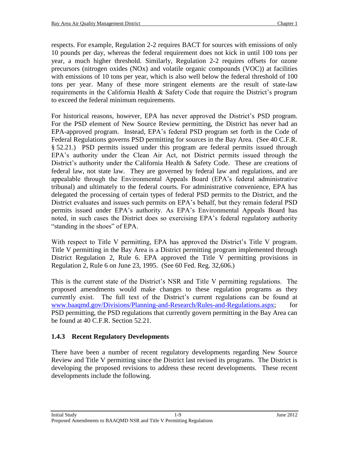respects. For example, Regulation 2-2 requires BACT for sources with emissions of only 10 pounds per day, whereas the federal requirement does not kick in until 100 tons per year, a much higher threshold. Similarly, Regulation 2-2 requires offsets for ozone precursors (nitrogen oxides (NOx) and volatile organic compounds (VOC)) at facilities with emissions of 10 tons per year, which is also well below the federal threshold of 100 tons per year. Many of these more stringent elements are the result of state-law requirements in the California Health & Safety Code that require the District's program to exceed the federal minimum requirements.

For historical reasons, however, EPA has never approved the District's PSD program. For the PSD element of New Source Review permitting, the District has never had an EPA-approved program. Instead, EPA's federal PSD program set forth in the Code of Federal Regulations governs PSD permitting for sources in the Bay Area. (See 40 C.F.R. § 52.21.) PSD permits issued under this program are federal permits issued through EPA's authority under the Clean Air Act, not District permits issued through the District's authority under the California Health & Safety Code. These are creations of federal law, not state law. They are governed by federal law and regulations, and are appealable through the Environmental Appeals Board (EPA's federal administrative tribunal) and ultimately to the federal courts. For administrative convenience, EPA has delegated the processing of certain types of federal PSD permits to the District, and the District evaluates and issues such permits on EPA's behalf, but they remain federal PSD permits issued under EPA's authority. As EPA's Environmental Appeals Board has noted, in such cases the District does so exercising EPA's federal regulatory authority "standing in the shoes" of EPA.

With respect to Title V permitting, EPA has approved the District's Title V program. Title V permitting in the Bay Area is a District permitting program implemented through District Regulation 2, Rule 6. EPA approved the Title V permitting provisions in Regulation 2, Rule 6 on June 23, 1995. (See 60 Fed. Reg. 32,606.)

This is the current state of the District's NSR and Title V permitting regulations. The proposed amendments would make changes to these regulation programs as they currently exist. The full text of the District's current regulations can be found at [www.baaqmd.gov/Divisions/Planning-and-Research/Rules-and-Regulations.aspx;](http://www.baaqmd.gov/Divisions/Planning-and-Research/Rules-and-Regulations.aspx) for PSD permitting, the PSD regulations that currently govern permitting in the Bay Area can be found at 40 C.F.R. Section 52.21.

## **1.4.3 Recent Regulatory Developments**

There have been a number of recent regulatory developments regarding New Source Review and Title V permitting since the District last revised its programs. The District is developing the proposed revisions to address these recent developments. These recent developments include the following.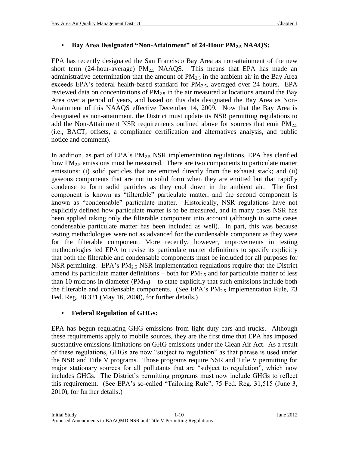## • **Bay Area Designated "Non-Attainment" of 24-Hour PM2.5 NAAQS:**

EPA has recently designated the San Francisco Bay Area as non-attainment of the new short term (24-hour-average)  $PM<sub>2.5</sub> NAAQS$ . This means that EPA has made an administrative determination that the amount of  $PM_{2.5}$  in the ambient air in the Bay Area exceeds EPA's federal health-based standard for  $PM_{2.5}$ , averaged over 24 hours. EPA reviewed data on concentrations of  $PM_{2.5}$  in the air measured at locations around the Bay Area over a period of years, and based on this data designated the Bay Area as Non-Attainment of this NAAQS effective December 14, 2009. Now that the Bay Area is designated as non-attainment, the District must update its NSR permitting regulations to add the Non-Attainment NSR requirements outlined above for sources that emit  $PM_{2.5}$ (i.e., BACT, offsets, a compliance certification and alternatives analysis, and public notice and comment).

In addition, as part of EPA's  $PM_{2.5}$  NSR implementation regulations, EPA has clarified how  $PM<sub>2.5</sub>$  emissions must be measured. There are two components to particulate matter emissions: (i) solid particles that are emitted directly from the exhaust stack; and (ii) gaseous components that are not in solid form when they are emitted but that rapidly condense to form solid particles as they cool down in the ambient air. The first component is known as "filterable" particulate matter, and the second component is known as "condensable" particulate matter. Historically, NSR regulations have not explicitly defined how particulate matter is to be measured, and in many cases NSR has been applied taking only the filterable component into account (although in some cases condensable particulate matter has been included as well). In part, this was because testing methodologies were not as advanced for the condensable component as they were for the filterable component. More recently, however, improvements in testing methodologies led EPA to revise its particulate matter definitions to specify explicitly that both the filterable and condensable components must be included for all purposes for NSR permitting. EPA's  $PM_{2,5}$  NSR implementation regulations require that the District amend its particulate matter definitions – both for  $PM_{2.5}$  and for particulate matter of less than 10 microns in diameter  $(PM_{10})$  – to state explicitly that such emissions include both the filterable and condensable components. (See EPA's  $PM_{2.5}$  Implementation Rule, 73 Fed. Reg. 28,321 (May 16, 2008), for further details.)

## • **Federal Regulation of GHGs:**

EPA has begun regulating GHG emissions from light duty cars and trucks. Although these requirements apply to mobile sources, they are the first time that EPA has imposed substantive emissions limitations on GHG emissions under the Clean Air Act. As a result of these regulations, GHGs are now "subject to regulation" as that phrase is used under the NSR and Title V programs. Those programs require NSR and Title V permitting for major stationary sources for all pollutants that are "subject to regulation", which now includes GHGs. The District's permitting programs must now include GHGs to reflect this requirement. (See EPA's so-called "Tailoring Rule", 75 Fed. Reg. 31,515 (June 3, 2010), for further details.)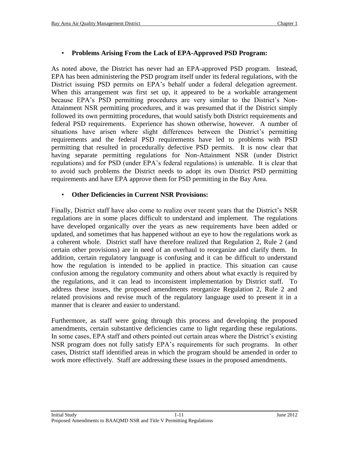#### • **Problems Arising From the Lack of EPA-Approved PSD Program:**

As noted above, the District has never had an EPA-approved PSD program. Instead, EPA has been administering the PSD program itself under its federal regulations, with the District issuing PSD permits on EPA's behalf under a federal delegation agreement. When this arrangement was first set up, it appeared to be a workable arrangement because EPA's PSD permitting procedures are very similar to the District's Non-Attainment NSR permitting procedures, and it was presumed that if the District simply followed its own permitting procedures, that would satisfy both District requirements and federal PSD requirements. Experience has shown otherwise, however. A number of situations have arisen where slight differences between the District's permitting requirements and the federal PSD requirements have led to problems with PSD permitting that resulted in procedurally defective PSD permits. It is now clear that having separate permitting regulations for Non-Attainment NSR (under District regulations) and for PSD (under EPA's federal regulations) is untenable. It is clear that to avoid such problems the District needs to adopt its own District PSD permitting requirements and have EPA approve them for PSD permitting in the Bay Area.

#### • **Other Deficiencies in Current NSR Provisions:**

Finally, District staff have also come to realize over recent years that the District's NSR regulations are in some places difficult to understand and implement. The regulations have developed organically over the years as new requirements have been added or updated, and sometimes that has happened without an eye to how the regulations work as a coherent whole. District staff have therefore realized that Regulation 2, Rule 2 (and certain other provisions) are in need of an overhaul to reorganize and clarify them. In addition, certain regulatory language is confusing and it can be difficult to understand how the regulation is intended to be applied in practice. This situation can cause confusion among the regulatory community and others about what exactly is required by the regulations, and it can lead to inconsistent implementation by District staff. To address these issues, the proposed amendments reorganize Regulation 2, Rule 2 and related provisions and revise much of the regulatory language used to present it in a manner that is clearer and easier to understand.

Furthermore, as staff were going through this process and developing the proposed amendments, certain substantive deficiencies came to light regarding these regulations. In some cases, EPA staff and others pointed out certain areas where the District's existing NSR program does not fully satisfy EPA's requirements for such programs. In other cases, District staff identified areas in which the program should be amended in order to work more effectively. Staff are addressing these issues in the proposed amendments.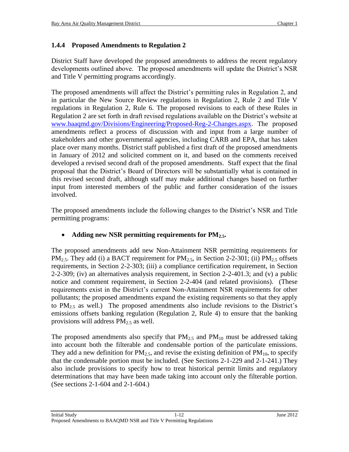## **1.4.4 Proposed Amendments to Regulation 2**

District Staff have developed the proposed amendments to address the recent regulatory developments outlined above. The proposed amendments will update the District's NSR and Title V permitting programs accordingly.

The proposed amendments will affect the District's permitting rules in Regulation 2, and in particular the New Source Review regulations in Regulation 2, Rule 2 and Title V regulations in Regulation 2, Rule 6. The proposed revisions to each of these Rules in Regulation 2 are set forth in draft revised regulations available on the District's website at [www.baaqmd.gov/Divisions/Engineering/Proposed-Reg-2-Changes.aspx.](http://www.baaqmd.gov/Divisions/Engineering/Proposed-Reg-2-Changes.aspx) The proposed amendments reflect a process of discussion with and input from a large number of stakeholders and other governmental agencies, including CARB and EPA, that has taken place over many months. District staff published a first draft of the proposed amendments in January of 2012 and solicited comment on it, and based on the comments received developed a revised second draft of the proposed amendments. Staff expect that the final proposal that the District's Board of Directors will be substantially what is contained in this revised second draft, although staff may make additional changes based on further input from interested members of the public and further consideration of the issues involved.

The proposed amendments include the following changes to the District's NSR and Title permitting programs:

## **Adding new NSR permitting requirements for PM2.5.**

The proposed amendments add new Non-Attainment NSR permitting requirements for PM<sub>2.5</sub>. They add (i) a BACT requirement for PM<sub>2.5</sub>, in Section 2-2-301; (ii) PM<sub>2.5</sub> offsets requirements, in Section 2-2-303; (iii) a compliance certification requirement, in Section 2-2-309; (iv) an alternatives analysis requirement, in Section 2-2-401.3; and (v) a public notice and comment requirement, in Section 2-2-404 (and related provisions). (These requirements exist in the District's current Non-Attainment NSR requirements for other pollutants; the proposed amendments expand the existing requirements so that they apply to  $PM_{2.5}$  as well.) The proposed amendments also include revisions to the District's emissions offsets banking regulation (Regulation 2, Rule 4) to ensure that the banking provisions will address  $PM<sub>2.5</sub>$  as well.

The proposed amendments also specify that  $PM_{2.5}$  and  $PM_{10}$  must be addressed taking into account both the filterable and condensable portion of the particulate emissions. They add a new definition for  $PM_{2.5}$ , and revise the existing definition of  $PM_{10}$ , to specify that the condensable portion must be included. (See Sections 2-1-229 and 2-1-241.) They also include provisions to specify how to treat historical permit limits and regulatory determinations that may have been made taking into account only the filterable portion. (See sections 2-1-604 and 2-1-604.)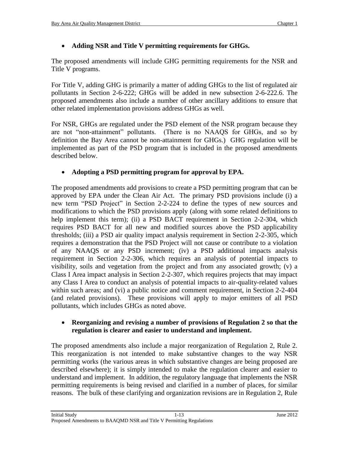## **Adding NSR and Title V permitting requirements for GHGs.**

The proposed amendments will include GHG permitting requirements for the NSR and Title V programs.

For Title V, adding GHG is primarily a matter of adding GHGs to the list of regulated air pollutants in Section 2-6-222; GHGs will be added in new subsection 2-6-222.6. The proposed amendments also include a number of other ancillary additions to ensure that other related implementation provisions address GHGs as well.

For NSR, GHGs are regulated under the PSD element of the NSR program because they are not "non-attainment" pollutants. (There is no NAAQS for GHGs, and so by definition the Bay Area cannot be non-attainment for GHGs.) GHG regulation will be implemented as part of the PSD program that is included in the proposed amendments described below.

## **Adopting a PSD permitting program for approval by EPA.**

The proposed amendments add provisions to create a PSD permitting program that can be approved by EPA under the Clean Air Act. The primary PSD provisions include (i) a new term "PSD Project" in Section 2-2-224 to define the types of new sources and modifications to which the PSD provisions apply (along with some related definitions to help implement this term); (ii) a PSD BACT requirement in Section 2-2-304, which requires PSD BACT for all new and modified sources above the PSD applicability thresholds; (iii) a PSD air quality impact analysis requirement in Section 2-2-305, which requires a demonstration that the PSD Project will not cause or contribute to a violation of any NAAQS or any PSD increment; (iv) a PSD additional impacts analysis requirement in Section 2-2-306, which requires an analysis of potential impacts to visibility, soils and vegetation from the project and from any associated growth; (v) a Class I Area impact analysis in Section 2-2-307, which requires projects that may impact any Class I Area to conduct an analysis of potential impacts to air-quality-related values within such areas; and (vi) a public notice and comment requirement, in Section 2-2-404 (and related provisions). These provisions will apply to major emitters of all PSD pollutants, which includes GHGs as noted above.

#### **Reorganizing and revising a number of provisions of Regulation 2 so that the regulation is clearer and easier to understand and implement.**

The proposed amendments also include a major reorganization of Regulation 2, Rule 2. This reorganization is not intended to make substantive changes to the way NSR permitting works (the various areas in which substantive changes are being proposed are described elsewhere); it is simply intended to make the regulation clearer and easier to understand and implement. In addition, the regulatory language that implements the NSR permitting requirements is being revised and clarified in a number of places, for similar reasons. The bulk of these clarifying and organization revisions are in Regulation 2, Rule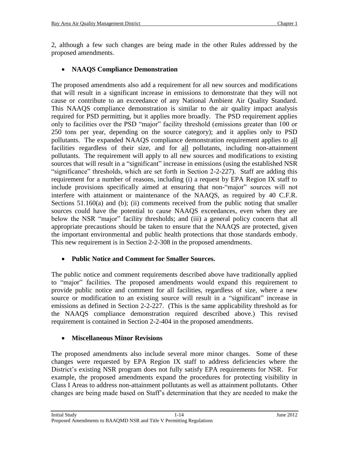2, although a few such changes are being made in the other Rules addressed by the proposed amendments.

## **NAAQS Compliance Demonstration**

The proposed amendments also add a requirement for all new sources and modifications that will result in a significant increase in emissions to demonstrate that they will not cause or contribute to an exceedance of any National Ambient Air Quality Standard. This NAAQS compliance demonstration is similar to the air quality impact analysis required for PSD permitting, but it applies more broadly. The PSD requirement applies only to facilities over the PSD "major" facility threshold (emissions greater than 100 or 250 tons per year, depending on the source category); and it applies only to PSD pollutants. The expanded NAAQS compliance demonstration requirement applies to all facilities regardless of their size, and for all pollutants, including non-attainment pollutants. The requirement will apply to all new sources and modifications to existing sources that will result in a "significant" increase in emissions (using the established NSR "significance" thresholds, which are set forth in Section 2-2-227). Staff are adding this requirement for a number of reasons, including (i) a request by EPA Region IX staff to include provisions specifically aimed at ensuring that non-"major" sources will not interfere with attainment or maintenance of the NAAQS, as required by 40 C.F.R. Sections 51.160(a) and (b); (ii) comments received from the public noting that smaller sources could have the potential to cause NAAQS exceedances, even when they are below the NSR "major" facility thresholds; and (iii) a general policy concern that all appropriate precautions should be taken to ensure that the NAAQS are protected, given the important environmental and public health protections that those standards embody. This new requirement is in Section 2-2-308 in the proposed amendments.

## **Public Notice and Comment for Smaller Sources.**

The public notice and comment requirements described above have traditionally applied to "major" facilities. The proposed amendments would expand this requirement to provide public notice and comment for all facilities, regardless of size, where a new source or modification to an existing source will result in a "significant" increase in emissions as defined in Section 2-2-227. (This is the same applicability threshold as for the NAAQS compliance demonstration required described above.) This revised requirement is contained in Section 2-2-404 in the proposed amendments.

## **Miscellaneous Minor Revisions**

The proposed amendments also include several more minor changes. Some of these changes were requested by EPA Region IX staff to address deficiencies where the District's existing NSR program does not fully satisfy EPA requirements for NSR. For example, the proposed amendments expand the procedures for protecting visibility in Class I Areas to address non-attainment pollutants as well as attainment pollutants. Other changes are being made based on Staff's determination that they are needed to make the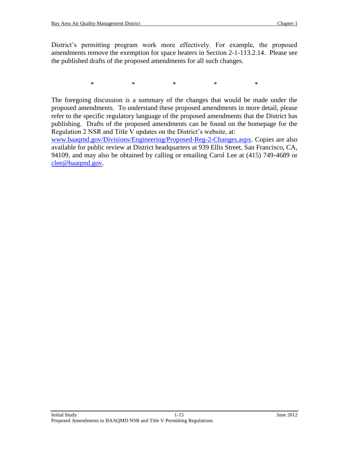District's permitting program work more effectively. For example, the proposed amendments remove the exemption for space heaters in Section 2-1-113.2.14. Please see the published drafts of the proposed amendments for all such changes.

\* \* \* \* \* \* \*

The foregoing discussion is a summary of the changes that would be made under the proposed amendments. To understand these proposed amendments in more detail, please refer to the specific regulatory language of the proposed amendments that the District has publishing. Drafts of the proposed amendments can be found on the homepage for the Regulation 2 NSR and Title V updates on the District's website, at:

[www.baaqmd.gov/Divisions/Engineering/Proposed-Reg-2-Changes.aspx.](http://www.baaqmd.gov/Divisions/Engineering/Proposed-Reg-2-Changes.aspx) Copies are also available for public review at District headquarters at 939 Ellis Street, San Francisco, CA, 94109, and may also be obtained by calling or emailing Carol Lee at (415) 749-4689 or [clee@baaqmd.gov.](mailto:clee@baaqmd.gov)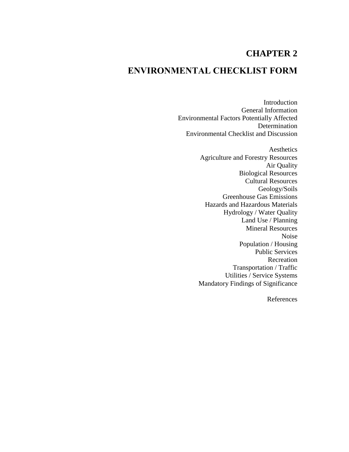## **CHAPTER 2**

## **ENVIRONMENTAL CHECKLIST FORM**

Introduction General Information Environmental Factors Potentially Affected Determination Environmental Checklist and Discussion

> Aesthetics Agriculture and Forestry Resources Air Quality Biological Resources Cultural Resources Geology/Soils Greenhouse Gas Emissions Hazards and Hazardous Materials Hydrology / Water Quality Land Use / Planning Mineral Resources Noise Population / Housing Public Services Recreation Transportation / Traffic Utilities / Service Systems Mandatory Findings of Significance

> > References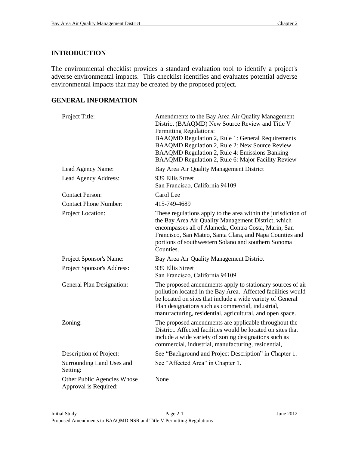#### **INTRODUCTION**

The environmental checklist provides a standard evaluation tool to identify a project's adverse environmental impacts. This checklist identifies and evaluates potential adverse environmental impacts that may be created by the proposed project.

#### **GENERAL INFORMATION**

| Project Title:                                       | Amendments to the Bay Area Air Quality Management<br>District (BAAQMD) New Source Review and Title V<br><b>Permitting Regulations:</b><br><b>BAAQMD Regulation 2, Rule 1: General Requirements</b><br>BAAQMD Regulation 2, Rule 2: New Source Review<br>BAAQMD Regulation 2, Rule 4: Emissions Banking<br>BAAQMD Regulation 2, Rule 6: Major Facility Review |
|------------------------------------------------------|--------------------------------------------------------------------------------------------------------------------------------------------------------------------------------------------------------------------------------------------------------------------------------------------------------------------------------------------------------------|
| Lead Agency Name:                                    | Bay Area Air Quality Management District                                                                                                                                                                                                                                                                                                                     |
| Lead Agency Address:                                 | 939 Ellis Street<br>San Francisco, California 94109                                                                                                                                                                                                                                                                                                          |
| <b>Contact Person:</b>                               | Carol Lee                                                                                                                                                                                                                                                                                                                                                    |
| <b>Contact Phone Number:</b>                         | 415-749-4689                                                                                                                                                                                                                                                                                                                                                 |
| Project Location:                                    | These regulations apply to the area within the jurisdiction of<br>the Bay Area Air Quality Management District, which<br>encompasses all of Alameda, Contra Costa, Marin, San<br>Francisco, San Mateo, Santa Clara, and Napa Counties and<br>portions of southwestern Solano and southern Sonoma<br>Counties.                                                |
| Project Sponsor's Name:                              | Bay Area Air Quality Management District                                                                                                                                                                                                                                                                                                                     |
| Project Sponsor's Address:                           | 939 Ellis Street<br>San Francisco, California 94109                                                                                                                                                                                                                                                                                                          |
| General Plan Designation:                            | The proposed amendments apply to stationary sources of air<br>pollution located in the Bay Area. Affected facilities would<br>be located on sites that include a wide variety of General<br>Plan designations such as commercial, industrial,<br>manufacturing, residential, agricultural, and open space.                                                   |
| Zoning:                                              | The proposed amendments are applicable throughout the<br>District. Affected facilities would be located on sites that<br>include a wide variety of zoning designations such as<br>commercial, industrial, manufacturing, residential,                                                                                                                        |
| Description of Project:                              | See "Background and Project Description" in Chapter 1.                                                                                                                                                                                                                                                                                                       |
| Surrounding Land Uses and<br>Setting:                | See "Affected Area" in Chapter 1.                                                                                                                                                                                                                                                                                                                            |
| Other Public Agencies Whose<br>Approval is Required: | None                                                                                                                                                                                                                                                                                                                                                         |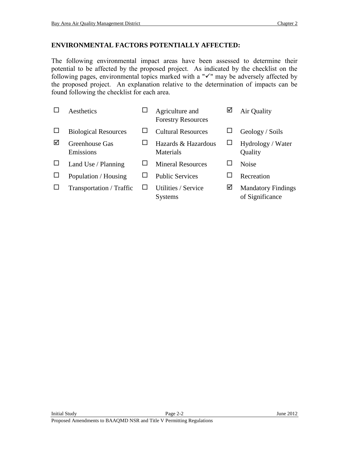The following environmental impact areas have been assessed to determine their potential to be affected by the proposed project. As indicated by the checklist on the following pages, environmental topics marked with a " $\checkmark$ " may be adversely affected by the proposed project. An explanation relative to the determination of impacts can be found following the checklist for each area.

|   | Aesthetics                  | Agriculture and<br><b>Forestry Resources</b> | ⊻ | Air Quality                                  |
|---|-----------------------------|----------------------------------------------|---|----------------------------------------------|
|   | <b>Biological Resources</b> | <b>Cultural Resources</b>                    |   | Geology / Soils                              |
| ☑ | Greenhouse Gas<br>Emissions | Hazards & Hazardous<br>Materials             | ப | Hydrology / Water<br>Quality                 |
|   | Land Use / Planning         | <b>Mineral Resources</b>                     | ப | <b>Noise</b>                                 |
|   | Population / Housing        | <b>Public Services</b>                       |   | Recreation                                   |
|   | Transportation / Traffic    | Utilities / Service<br><b>Systems</b>        | ☑ | <b>Mandatory Findings</b><br>of Significance |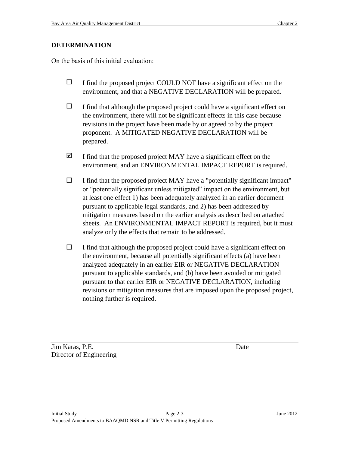### **DETERMINATION**

On the basis of this initial evaluation:

- $\Box$  I find the proposed project COULD NOT have a significant effect on the environment, and that a NEGATIVE DECLARATION will be prepared.
- $\Box$  I find that although the proposed project could have a significant effect on the environment, there will not be significant effects in this case because revisions in the project have been made by or agreed to by the project proponent. A MITIGATED NEGATIVE DECLARATION will be prepared.
- $\boxtimes$  I find that the proposed project MAY have a significant effect on the environment, and an ENVIRONMENTAL IMPACT REPORT is required.
- $\Box$  I find that the proposed project MAY have a "potentially significant impact" or "potentially significant unless mitigated" impact on the environment, but at least one effect 1) has been adequately analyzed in an earlier document pursuant to applicable legal standards, and 2) has been addressed by mitigation measures based on the earlier analysis as described on attached sheets. An ENVIRONMENTAL IMPACT REPORT is required, but it must analyze only the effects that remain to be addressed.
- $\Box$  I find that although the proposed project could have a significant effect on the environment, because all potentially significant effects (a) have been analyzed adequately in an earlier EIR or NEGATIVE DECLARATION pursuant to applicable standards, and (b) have been avoided or mitigated pursuant to that earlier EIR or NEGATIVE DECLARATION, including revisions or mitigation measures that are imposed upon the proposed project, nothing further is required.

Jim Karas, P.E. Date Director of Engineering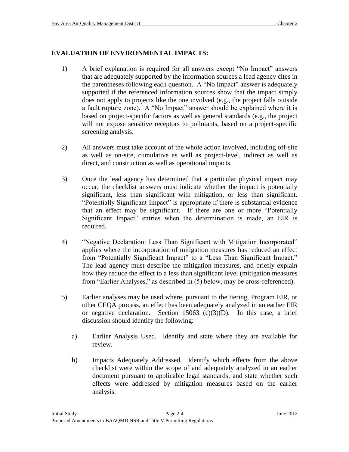#### **EVALUATION OF ENVIRONMENTAL IMPACTS:**

- 1) A brief explanation is required for all answers except "No Impact" answers that are adequately supported by the information sources a lead agency cites in the parentheses following each question. A "No Impact" answer is adequately supported if the referenced information sources show that the impact simply does not apply to projects like the one involved (e.g., the project falls outside a fault rupture zone). A "No Impact" answer should be explained where it is based on project-specific factors as well as general standards (e.g., the project will not expose sensitive receptors to pollutants, based on a project-specific screening analysis.
- 2) All answers must take account of the whole action involved, including off-site as well as on-site, cumulative as well as project-level, indirect as well as direct, and construction as well as operational impacts.
- 3) Once the lead agency has determined that a particular physical impact may occur, the checklist answers must indicate whether the impact is potentially significant, less than significant with mitigation, or less than significant. "Potentially Significant Impact" is appropriate if there is substantial evidence that an effect may be significant. If there are one or more "Potentially Significant Impact" entries when the determination is made, an EIR is required.
- 4) "Negative Declaration: Less Than Significant with Mitigation Incorporated" applies where the incorporation of mitigation measures has reduced an effect from "Potentially Significant Impact" to a "Less Than Significant Impact." The lead agency must describe the mitigation measures, and briefly explain how they reduce the effect to a less than significant level (mitigation measures from "Earlier Analyses," as described in (5) below, may be cross-referenced).
- 5) Earlier analyses may be used where, pursuant to the tiering, Program EIR, or other CEQA process, an effect has been adequately analyzed in an earlier EIR or negative declaration. Section 15063 (c)(3)(D). In this case, a brief discussion should identify the following:
	- a) Earlier Analysis Used. Identify and state where they are available for review.
	- b) Impacts Adequately Addressed. Identify which effects from the above checklist were within the scope of and adequately analyzed in an earlier document pursuant to applicable legal standards, and state whether such effects were addressed by mitigation measures based on the earlier analysis.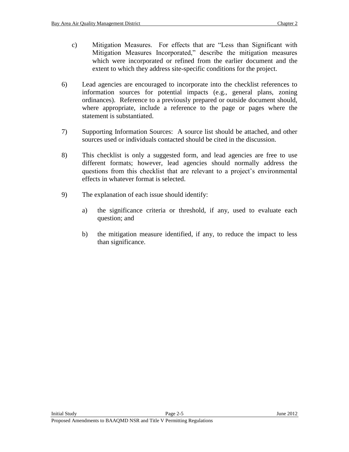- c) Mitigation Measures. For effects that are "Less than Significant with Mitigation Measures Incorporated," describe the mitigation measures which were incorporated or refined from the earlier document and the extent to which they address site-specific conditions for the project.
- 6) Lead agencies are encouraged to incorporate into the checklist references to information sources for potential impacts (e.g., general plans, zoning ordinances). Reference to a previously prepared or outside document should, where appropriate, include a reference to the page or pages where the statement is substantiated.
- 7) Supporting Information Sources: A source list should be attached, and other sources used or individuals contacted should be cited in the discussion.
- 8) This checklist is only a suggested form, and lead agencies are free to use different formats; however, lead agencies should normally address the questions from this checklist that are relevant to a project's environmental effects in whatever format is selected.
- 9) The explanation of each issue should identify:
	- a) the significance criteria or threshold, if any, used to evaluate each question; and
	- b) the mitigation measure identified, if any, to reduce the impact to less than significance.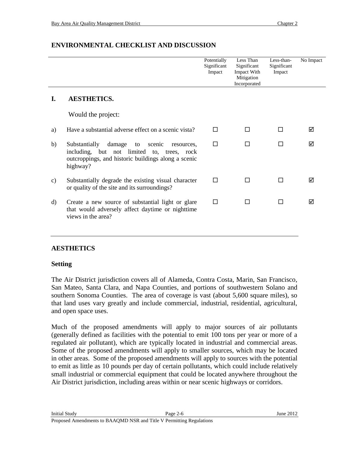|    |                                                                                                                                                                        | Potentially<br>Significant<br>Impact | Less Than<br>Significant<br>Impact With<br>Mitigation<br>Incorporated | Less-than-<br>Significant<br>Impact | No Impact |
|----|------------------------------------------------------------------------------------------------------------------------------------------------------------------------|--------------------------------------|-----------------------------------------------------------------------|-------------------------------------|-----------|
| I. | <b>AESTHETICS.</b>                                                                                                                                                     |                                      |                                                                       |                                     |           |
|    | Would the project:                                                                                                                                                     |                                      |                                                                       |                                     |           |
| a) | Have a substantial adverse effect on a scenic vista?                                                                                                                   | п                                    |                                                                       |                                     | ⊠         |
| b) | Substantially<br>damage<br>scenic<br>to<br>resources.<br>including, but not limited to, trees, rock<br>outcroppings, and historic buildings along a scenic<br>highway? | □                                    | П                                                                     | П                                   | ⊠         |
| c) | Substantially degrade the existing visual character<br>or quality of the site and its surroundings?                                                                    | п                                    |                                                                       |                                     | ☑         |
| d) | Create a new source of substantial light or glare<br>that would adversely affect daytime or nighttime<br>views in the area?                                            | П                                    |                                                                       |                                     | ⊠         |

### **ENVIRONMENTAL CHECKLIST AND DISCUSSION**

#### **AESTHETICS**

#### **Setting**

The Air District jurisdiction covers all of Alameda, Contra Costa, Marin, San Francisco, San Mateo, Santa Clara, and Napa Counties, and portions of southwestern Solano and southern Sonoma Counties. The area of coverage is vast (about 5,600 square miles), so that land uses vary greatly and include commercial, industrial, residential, agricultural, and open space uses.

Much of the proposed amendments will apply to major sources of air pollutants (generally defined as facilities with the potential to emit 100 tons per year or more of a regulated air pollutant), which are typically located in industrial and commercial areas. Some of the proposed amendments will apply to smaller sources, which may be located in other areas. Some of the proposed amendments will apply to sources with the potential to emit as little as 10 pounds per day of certain pollutants, which could include relatively small industrial or commercial equipment that could be located anywhere throughout the Air District jurisdiction, including areas within or near scenic highways or corridors.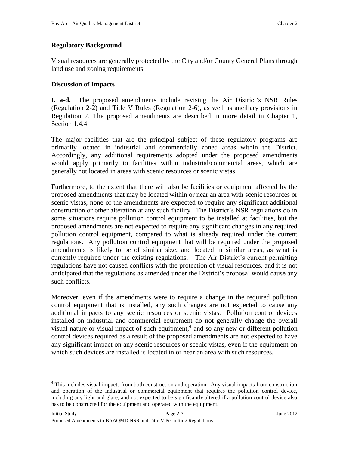#### **Regulatory Background**

Visual resources are generally protected by the City and/or County General Plans through land use and zoning requirements.

#### **Discussion of Impacts**

**I. a-d.** The proposed amendments include revising the Air District's NSR Rules (Regulation 2-2) and Title V Rules (Regulation 2-6), as well as ancillary provisions in Regulation 2. The proposed amendments are described in more detail in Chapter 1, Section 1.4.4.

The major facilities that are the principal subject of these regulatory programs are primarily located in industrial and commercially zoned areas within the District. Accordingly, any additional requirements adopted under the proposed amendments would apply primarily to facilities within industrial/commercial areas, which are generally not located in areas with scenic resources or scenic vistas.

Furthermore, to the extent that there will also be facilities or equipment affected by the proposed amendments that may be located within or near an area with scenic resources or scenic vistas, none of the amendments are expected to require any significant additional construction or other alteration at any such facility. The District's NSR regulations do in some situations require pollution control equipment to be installed at facilities, but the proposed amendments are not expected to require any significant changes in any required pollution control equipment, compared to what is already required under the current regulations. Any pollution control equipment that will be required under the proposed amendments is likely to be of similar size, and located in similar areas, as what is currently required under the existing regulations. The Air District's current permitting regulations have not caused conflicts with the protection of visual resources, and it is not anticipated that the regulations as amended under the District's proposal would cause any such conflicts.

Moreover, even if the amendments were to require a change in the required pollution control equipment that is installed, any such changes are not expected to cause any additional impacts to any scenic resources or scenic vistas. Pollution control devices installed on industrial and commercial equipment do not generally change the overall visual nature or visual impact of such equipment, $4$  and so any new or different pollution control devices required as a result of the proposed amendments are not expected to have any significant impact on any scenic resources or scenic vistas, even if the equipment on which such devices are installed is located in or near an area with such resources.

 $\overline{a}$ 

<sup>&</sup>lt;sup>4</sup> This includes visual impacts from both construction and operation. Any visual impacts from construction and operation of the industrial or commercial equipment that requires the pollution control device, including any light and glare, and not expected to be significantly altered if a pollution control device also has to be constructed for the equipment and operated with the equipment.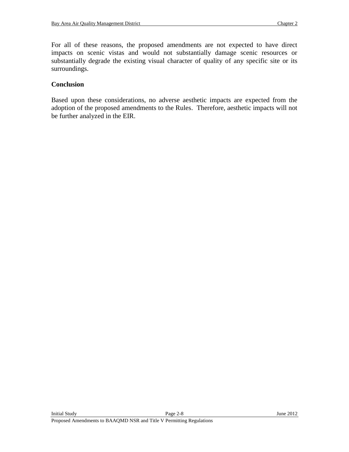For all of these reasons, the proposed amendments are not expected to have direct impacts on scenic vistas and would not substantially damage scenic resources or substantially degrade the existing visual character of quality of any specific site or its surroundings.

#### **Conclusion**

Based upon these considerations, no adverse aesthetic impacts are expected from the adoption of the proposed amendments to the Rules. Therefore, aesthetic impacts will not be further analyzed in the EIR.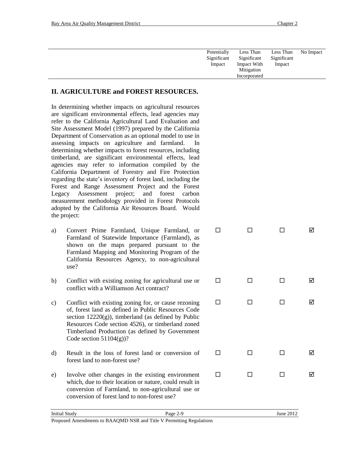| Potentially<br>No Impact<br>Less Than<br>Less Than<br>Significant<br>Significant<br>Significant<br>Impact With<br>Impact<br>Impact<br>Mitigation<br>Incorporated |  |
|------------------------------------------------------------------------------------------------------------------------------------------------------------------|--|
|                                                                                                                                                                  |  |

#### **II. AGRICULTURE and FOREST RESOURCES.**

In determining whether impacts on agricultural resources are significant environmental effects, lead agencies may refer to the California Agricultural Land Evaluation and Site Assessment Model (1997) prepared by the California Department of Conservation as an optional model to use in assessing impacts on agriculture and farmland. In determining whether impacts to forest resources, including timberland, are significant environmental effects, lead agencies may refer to information compiled by the California Department of Forestry and Fire Protection regarding the state's inventory of forest land, including the Forest and Range Assessment Project and the Forest Legacy Assessment project; and forest carbon measurement methodology provided in Forest Protocols adopted by the California Air Resources Board. Would the project:

- a) Convert Prime Farmland, Unique Farmland, or Farmland of Statewide Importance (Farmland), as shown on the maps prepared pursuant to the Farmland Mapping and Monitoring Program of the California Resources Agency, to non-agricultural use?
- b) Conflict with existing zoning for agricultural use or conflict with a Williamson Act contract?
- c) Conflict with existing zoning for, or cause rezoning of, forest land as defined in Public Resources Code section  $12220(g)$ ), timberland (as defined by Public Resources Code section 4526), or timberland zoned Timberland Production (as defined by Government Code section  $51104(g)$ ?
- d) Result in the loss of forest land or conversion of forest land to non-forest use?
- e) Involve other changes in the existing environment which, due to their location or nature, could result in conversion of Farmland, to non-agricultural use or conversion of forest land to non-forest use?

 $\begin{array}{ccccccccccccccccc} \Box & \hspace{1.5cm} & \Box & \hspace{1.5cm} & \Box & \hspace{1.5cm} & \Box & \hspace{1.5cm} & \Box & \hspace{1.5cm} & \Box & \hspace{1.5cm} & \Box & \hspace{1.5cm} & \Box & \hspace{1.5cm} & \Box & \hspace{1.5cm} & \Box & \hspace{1.5cm} & \Box & \hspace{1.5cm} & \Box & \hspace{1.5cm} & \Box & \hspace{1.5cm} & \Box & \hspace{1.5cm} & \Box & \hspace{1.5cm} & \Box & \hspace{1.5cm} & \$ 

 $\begin{array}{ccccccccccccccccc} \Box & \hspace{1.5cm} & \Box & \hspace{1.5cm} & \Box & \hspace{1.5cm} & \Box & \hspace{1.5cm} & \Box & \hspace{1.5cm} & \Box & \hspace{1.5cm} & \Box & \hspace{1.5cm} & \Box & \hspace{1.5cm} & \Box & \hspace{1.5cm} & \Box & \hspace{1.5cm} & \Box & \hspace{1.5cm} & \Box & \hspace{1.5cm} & \Box & \hspace{1.5cm} & \Box & \hspace{1.5cm} & \Box & \hspace{1.5cm} & \Box & \hspace{1.5cm} & \$ 

 $\begin{array}{ccccccccccccccccc} \Box & \hspace{1.5cm} & \Box & \hspace{1.5cm} & \Box & \hspace{1.5cm} & \boxtimes \end{array}$ 

 $\begin{array}{ccccccccccccccccc} \Box & \hspace{1.5cm} & \Box & \hspace{1.5cm} & \Box & \hspace{1.5cm} & \boxtimes \end{array}$ 

 $\begin{array}{ccccccccccccccccc} \Box & \hspace{1.5cm} & \Box & \hspace{1.5cm} & \Box & \hspace{1.5cm} & \Box & \hspace{1.5cm} & \Box & \hspace{1.5cm} & \Box & \hspace{1.5cm} & \Box & \hspace{1.5cm} & \Box & \hspace{1.5cm} & \Box & \hspace{1.5cm} & \Box & \hspace{1.5cm} & \Box & \hspace{1.5cm} & \Box & \hspace{1.5cm} & \Box & \hspace{1.5cm} & \Box & \hspace{1.5cm} & \Box & \hspace{1.5cm} & \Box & \hspace{1.5cm} & \$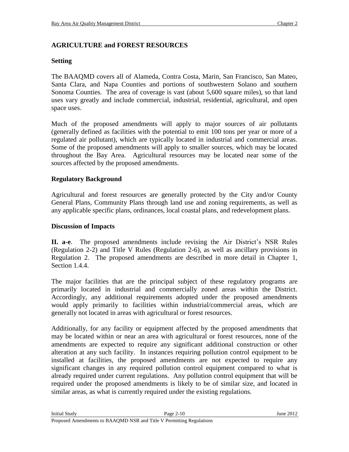### **AGRICULTURE and FOREST RESOURCES**

#### **Setting**

The BAAQMD covers all of Alameda, Contra Costa, Marin, San Francisco, San Mateo, Santa Clara, and Napa Counties and portions of southwestern Solano and southern Sonoma Counties. The area of coverage is vast (about 5,600 square miles), so that land uses vary greatly and include commercial, industrial, residential, agricultural, and open space uses.

Much of the proposed amendments will apply to major sources of air pollutants (generally defined as facilities with the potential to emit 100 tons per year or more of a regulated air pollutant), which are typically located in industrial and commercial areas. Some of the proposed amendments will apply to smaller sources, which may be located throughout the Bay Area. Agricultural resources may be located near some of the sources affected by the proposed amendments.

#### **Regulatory Background**

Agricultural and forest resources are generally protected by the City and/or County General Plans, Community Plans through land use and zoning requirements, as well as any applicable specific plans, ordinances, local coastal plans, and redevelopment plans.

#### **Discussion of Impacts**

**II. a-e**. The proposed amendments include revising the Air District's NSR Rules (Regulation 2-2) and Title V Rules (Regulation 2-6), as well as ancillary provisions in Regulation 2. The proposed amendments are described in more detail in Chapter 1, Section 1.4.4.

The major facilities that are the principal subject of these regulatory programs are primarily located in industrial and commercially zoned areas within the District. Accordingly, any additional requirements adopted under the proposed amendments would apply primarily to facilities within industrial/commercial areas, which are generally not located in areas with agricultural or forest resources.

Additionally, for any facility or equipment affected by the proposed amendments that may be located within or near an area with agricultural or forest resources, none of the amendments are expected to require any significant additional construction or other alteration at any such facility. In instances requiring pollution control equipment to be installed at facilities, the proposed amendments are not expected to require any significant changes in any required pollution control equipment compared to what is already required under current regulations. Any pollution control equipment that will be required under the proposed amendments is likely to be of similar size, and located in similar areas, as what is currently required under the existing regulations.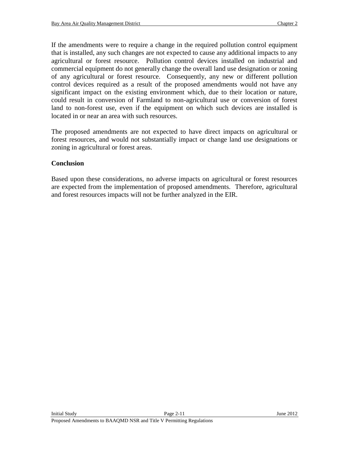If the amendments were to require a change in the required pollution control equipment that is installed, any such changes are not expected to cause any additional impacts to any agricultural or forest resource. Pollution control devices installed on industrial and commercial equipment do not generally change the overall land use designation or zoning of any agricultural or forest resource. Consequently, any new or different pollution control devices required as a result of the proposed amendments would not have any significant impact on the existing environment which, due to their location or nature, could result in conversion of Farmland to non-agricultural use or conversion of forest land to non-forest use, even if the equipment on which such devices are installed is located in or near an area with such resources.

The proposed amendments are not expected to have direct impacts on agricultural or forest resources, and would not substantially impact or change land use designations or zoning in agricultural or forest areas.

#### **Conclusion**

Based upon these considerations, no adverse impacts on agricultural or forest resources are expected from the implementation of proposed amendments. Therefore, agricultural and forest resources impacts will not be further analyzed in the EIR.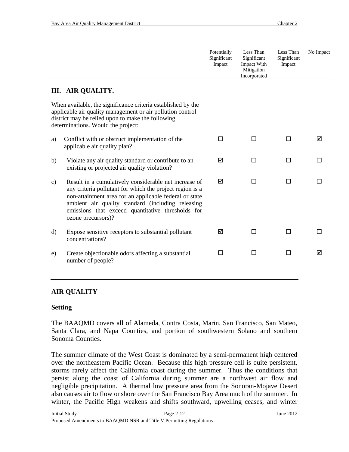|               |                                                                                                                                                                                                                                                                                                             | Potentially<br>Significant<br>Impact | Less Than<br>Significant<br>Impact With<br>Mitigation<br>Incorporated | Less Than<br>Significant<br>Impact | No Impact |
|---------------|-------------------------------------------------------------------------------------------------------------------------------------------------------------------------------------------------------------------------------------------------------------------------------------------------------------|--------------------------------------|-----------------------------------------------------------------------|------------------------------------|-----------|
|               | <b>III. AIR QUALITY.</b>                                                                                                                                                                                                                                                                                    |                                      |                                                                       |                                    |           |
|               | When available, the significance criteria established by the<br>applicable air quality management or air pollution control<br>district may be relied upon to make the following<br>determinations. Would the project:                                                                                       |                                      |                                                                       |                                    |           |
| a)            | Conflict with or obstruct implementation of the<br>applicable air quality plan?                                                                                                                                                                                                                             | □                                    | П                                                                     | П                                  | ☑         |
| b)            | Violate any air quality standard or contribute to an<br>existing or projected air quality violation?                                                                                                                                                                                                        | ☑                                    | П                                                                     | П                                  | П         |
| $\mathbf{c})$ | Result in a cumulatively considerable net increase of<br>any criteria pollutant for which the project region is a<br>non-attainment area for an applicable federal or state<br>ambient air quality standard (including releasing<br>emissions that exceed quantitative thresholds for<br>ozone precursors)? | ☑                                    | П                                                                     | П                                  |           |
| $\rm d)$      | Expose sensitive receptors to substantial pollutant<br>concentrations?                                                                                                                                                                                                                                      | ☑                                    | П                                                                     | П                                  |           |
| e)            | Create objectionable odors affecting a substantial<br>number of people?                                                                                                                                                                                                                                     | П                                    | П                                                                     | П                                  | ☑         |

#### **AIR QUALITY**

#### **Setting**

The BAAQMD covers all of Alameda, Contra Costa, Marin, San Francisco, San Mateo, Santa Clara, and Napa Counties, and portion of southwestern Solano and southern Sonoma Counties.

The summer climate of the West Coast is dominated by a semi-permanent high centered over the northeastern Pacific Ocean. Because this high pressure cell is quite persistent, storms rarely affect the California coast during the summer. Thus the conditions that persist along the coast of California during summer are a northwest air flow and negligible precipitation. A thermal low pressure area from the Sonoran-Mojave Desert also causes air to flow onshore over the San Francisco Bay Area much of the summer. In winter, the Pacific High weakens and shifts southward, upwelling ceases, and winter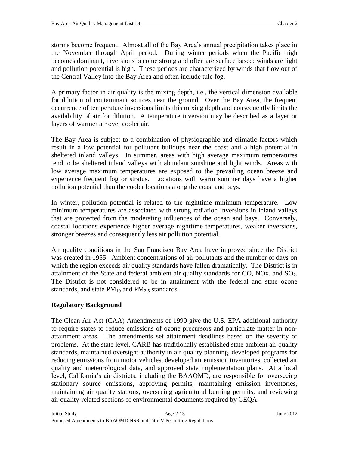storms become frequent. Almost all of the Bay Area's annual precipitation takes place in the November through April period. During winter periods when the Pacific high becomes dominant, inversions become strong and often are surface based; winds are light and pollution potential is high. These periods are characterized by winds that flow out of the Central Valley into the Bay Area and often include tule fog.

A primary factor in air quality is the mixing depth, i.e., the vertical dimension available for dilution of contaminant sources near the ground. Over the Bay Area, the frequent occurrence of temperature inversions limits this mixing depth and consequently limits the availability of air for dilution. A temperature inversion may be described as a layer or layers of warmer air over cooler air.

The Bay Area is subject to a combination of physiographic and climatic factors which result in a low potential for pollutant buildups near the coast and a high potential in sheltered inland valleys. In summer, areas with high average maximum temperatures tend to be sheltered inland valleys with abundant sunshine and light winds. Areas with low average maximum temperatures are exposed to the prevailing ocean breeze and experience frequent fog or stratus. Locations with warm summer days have a higher pollution potential than the cooler locations along the coast and bays.

In winter, pollution potential is related to the nighttime minimum temperature. Low minimum temperatures are associated with strong radiation inversions in inland valleys that are protected from the moderating influences of the ocean and bays. Conversely, coastal locations experience higher average nighttime temperatures, weaker inversions, stronger breezes and consequently less air pollution potential.

Air quality conditions in the San Francisco Bay Area have improved since the District was created in 1955. Ambient concentrations of air pollutants and the number of days on which the region exceeds air quality standards have fallen dramatically. The District is in attainment of the State and federal ambient air quality standards for  $CO$ ,  $NOx$ , and  $SO<sub>2</sub>$ . The District is not considered to be in attainment with the federal and state ozone standards, and state  $PM_{10}$  and  $PM_{2.5}$  standards.

## **Regulatory Background**

The Clean Air Act (CAA) Amendments of 1990 give the U.S. EPA additional authority to require states to reduce emissions of ozone precursors and particulate matter in nonattainment areas. The amendments set attainment deadlines based on the severity of problems. At the state level, CARB has traditionally established state ambient air quality standards, maintained oversight authority in air quality planning, developed programs for reducing emissions from motor vehicles, developed air emission inventories, collected air quality and meteorological data, and approved state implementation plans. At a local level, California's air districts, including the BAAQMD, are responsible for overseeing stationary source emissions, approving permits, maintaining emission inventories, maintaining air quality stations, overseeing agricultural burning permits, and reviewing air quality-related sections of environmental documents required by CEQA.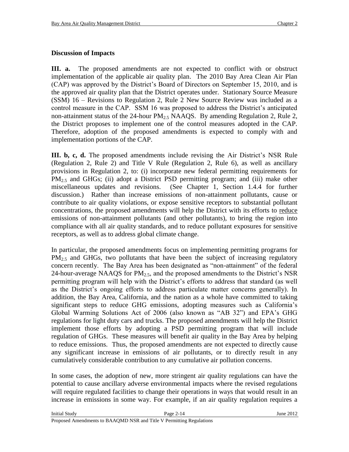#### **Discussion of Impacts**

**III. a.** The proposed amendments are not expected to conflict with or obstruct implementation of the applicable air quality plan. The 2010 Bay Area Clean Air Plan (CAP) was approved by the District's Board of Directors on September 15, 2010, and is the approved air quality plan that the District operates under. Stationary Source Measure (SSM) 16 – Revisions to Regulation 2, Rule 2 New Source Review was included as a control measure in the CAP. SSM 16 was proposed to address the District's anticipated non-attainment status of the 24-hour  $PM<sub>2.5</sub> NAAQS$ . By amending Regulation 2, Rule 2, the District proposes to implement one of the control measures adopted in the CAP. Therefore, adoption of the proposed amendments is expected to comply with and implementation portions of the CAP.

**III. b, c, d.** The proposed amendments include revising the Air District's NSR Rule (Regulation 2, Rule 2) and Title V Rule (Regulation 2, Rule 6), as well as ancillary provisions in Regulation 2, to: (i) incorporate new federal permitting requirements for  $PM_{2.5}$  and GHGs; (ii) adopt a District PSD permitting program; and (iii) make other miscellaneous updates and revisions. (See Chapter 1, Section 1.4.4 for further discussion.) Rather than increase emissions of non-attainment pollutants, cause or contribute to air quality violations, or expose sensitive receptors to substantial pollutant concentrations, the proposed amendments will help the District with its efforts to reduce emissions of non-attainment pollutants (and other pollutants), to bring the region into compliance with all air quality standards, and to reduce pollutant exposures for sensitive receptors, as well as to address global climate change.

In particular, the proposed amendments focus on implementing permitting programs for  $PM_{2.5}$  and GHGs, two pollutants that have been the subject of increasing regulatory concern recently. The Bay Area has been designated as "non-attainment" of the federal 24-hour-average NAAQS for  $PM<sub>2.5</sub>$ , and the proposed amendments to the District's NSR permitting program will help with the District's efforts to address that standard (as well as the District's ongoing efforts to address particulate matter concerns generally). In addition, the Bay Area, California, and the nation as a whole have committed to taking significant steps to reduce GHG emissions, adopting measures such as California's Global Warming Solutions Act of 2006 (also known as "AB 32") and EPA's GHG regulations for light duty cars and trucks. The proposed amendments will help the District implement those efforts by adopting a PSD permitting program that will include regulation of GHGs. These measures will benefit air quality in the Bay Area by helping to reduce emissions. Thus, the proposed amendments are not expected to directly cause any significant increase in emissions of air pollutants, or to directly result in any cumulatively considerable contribution to any cumulative air pollution concerns.

In some cases, the adoption of new, more stringent air quality regulations can have the potential to cause ancillary adverse environmental impacts where the revised regulations will require regulated facilities to change their operations in ways that would result in an increase in emissions in some way. For example, if an air quality regulation requires a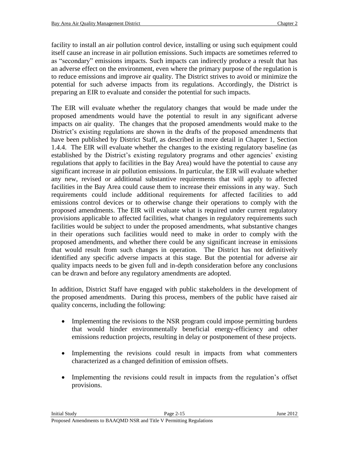facility to install an air pollution control device, installing or using such equipment could itself cause an increase in air pollution emissions. Such impacts are sometimes referred to as "secondary" emissions impacts. Such impacts can indirectly produce a result that has an adverse effect on the environment, even where the primary purpose of the regulation is to reduce emissions and improve air quality. The District strives to avoid or minimize the potential for such adverse impacts from its regulations. Accordingly, the District is preparing an EIR to evaluate and consider the potential for such impacts.

The EIR will evaluate whether the regulatory changes that would be made under the proposed amendments would have the potential to result in any significant adverse impacts on air quality. The changes that the proposed amendments would make to the District's existing regulations are shown in the drafts of the proposed amendments that have been published by District Staff, as described in more detail in Chapter 1, Section 1.4.4. The EIR will evaluate whether the changes to the existing regulatory baseline (as established by the District's existing regulatory programs and other agencies' existing regulations that apply to facilities in the Bay Area) would have the potential to cause any significant increase in air pollution emissions. In particular, the EIR will evaluate whether any new, revised or additional substantive requirements that will apply to affected facilities in the Bay Area could cause them to increase their emissions in any way. Such requirements could include additional requirements for affected facilities to add emissions control devices or to otherwise change their operations to comply with the proposed amendments. The EIR will evaluate what is required under current regulatory provisions applicable to affected facilities, what changes in regulatory requirements such facilities would be subject to under the proposed amendments, what substantive changes in their operations such facilities would need to make in order to comply with the proposed amendments, and whether there could be any significant increase in emissions that would result from such changes in operation. The District has not definitively identified any specific adverse impacts at this stage. But the potential for adverse air quality impacts needs to be given full and in-depth consideration before any conclusions can be drawn and before any regulatory amendments are adopted.

In addition, District Staff have engaged with public stakeholders in the development of the proposed amendments. During this process, members of the public have raised air quality concerns, including the following:

- Implementing the revisions to the NSR program could impose permitting burdens that would hinder environmentally beneficial energy-efficiency and other emissions reduction projects, resulting in delay or postponement of these projects.
- Implementing the revisions could result in impacts from what commenters characterized as a changed definition of emission offsets.
- Implementing the revisions could result in impacts from the regulation's offset provisions.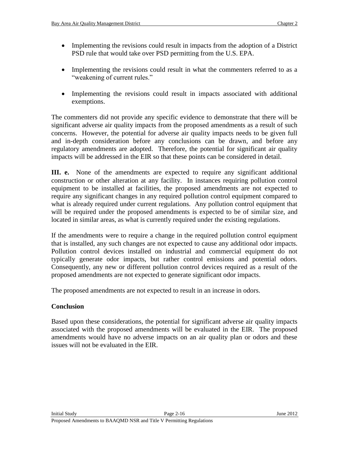- Implementing the revisions could result in impacts from the adoption of a District PSD rule that would take over PSD permitting from the U.S. EPA.
- Implementing the revisions could result in what the commenters referred to as a "weakening of current rules."
- Implementing the revisions could result in impacts associated with additional exemptions.

The commenters did not provide any specific evidence to demonstrate that there will be significant adverse air quality impacts from the proposed amendments as a result of such concerns. However, the potential for adverse air quality impacts needs to be given full and in-depth consideration before any conclusions can be drawn, and before any regulatory amendments are adopted. Therefore, the potential for significant air quality impacts will be addressed in the EIR so that these points can be considered in detail.

**III. e.** None of the amendments are expected to require any significant additional construction or other alteration at any facility. In instances requiring pollution control equipment to be installed at facilities, the proposed amendments are not expected to require any significant changes in any required pollution control equipment compared to what is already required under current regulations. Any pollution control equipment that will be required under the proposed amendments is expected to be of similar size, and located in similar areas, as what is currently required under the existing regulations.

If the amendments were to require a change in the required pollution control equipment that is installed, any such changes are not expected to cause any additional odor impacts. Pollution control devices installed on industrial and commercial equipment do not typically generate odor impacts, but rather control emissions and potential odors. Consequently, any new or different pollution control devices required as a result of the proposed amendments are not expected to generate significant odor impacts.

The proposed amendments are not expected to result in an increase in odors.

#### **Conclusion**

Based upon these considerations, the potential for significant adverse air quality impacts associated with the proposed amendments will be evaluated in the EIR. The proposed amendments would have no adverse impacts on an air quality plan or odors and these issues will not be evaluated in the EIR.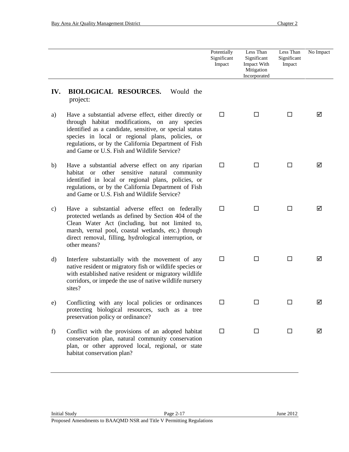|              |                                                                                                                                                                                                                                                                                                                              | Potentially<br>Significant<br>Impact | Less Than<br>Significant<br>Impact With<br>Mitigation<br>Incorporated | Less Than<br>Significant<br>Impact | No Impact |
|--------------|------------------------------------------------------------------------------------------------------------------------------------------------------------------------------------------------------------------------------------------------------------------------------------------------------------------------------|--------------------------------------|-----------------------------------------------------------------------|------------------------------------|-----------|
| IV.          | <b>BIOLOGICAL RESOURCES.</b><br>Would the<br>project:                                                                                                                                                                                                                                                                        |                                      |                                                                       |                                    |           |
| a)           | Have a substantial adverse effect, either directly or<br>through habitat modifications, on any species<br>identified as a candidate, sensitive, or special status<br>species in local or regional plans, policies, or<br>regulations, or by the California Department of Fish<br>and Game or U.S. Fish and Wildlife Service? | □                                    | $\Box$                                                                | □                                  | М         |
| b)           | Have a substantial adverse effect on any riparian<br>habitat or other<br>sensitive natural community<br>identified in local or regional plans, policies, or<br>regulations, or by the California Department of Fish<br>and Game or U.S. Fish and Wildlife Service?                                                           | □                                    | □                                                                     | □                                  | ☑         |
| c)           | Have a substantial adverse effect on federally<br>protected wetlands as defined by Section 404 of the<br>Clean Water Act (including, but not limited to,<br>marsh, vernal pool, coastal wetlands, etc.) through<br>direct removal, filling, hydrological interruption, or<br>other means?                                    | $\Box$                               | □                                                                     | □                                  | ☑         |
| $\mathbf{d}$ | Interfere substantially with the movement of any<br>native resident or migratory fish or wildlife species or<br>with established native resident or migratory wildlife<br>corridors, or impede the use of native wildlife nursery<br>sites?                                                                                  | $\Box$                               | $\Box$                                                                | $\Box$                             | ☑         |
| e)           | Conflicting with any local policies or ordinances<br>protecting biological resources, such as a tree<br>preservation policy or ordinance?                                                                                                                                                                                    | $\Box$                               | $\Box$                                                                | $\Box$                             | ☑         |
| f            | Conflict with the provisions of an adopted habitat<br>conservation plan, natural community conservation<br>plan, or other approved local, regional, or state<br>habitat conservation plan?                                                                                                                                   | $\Box$                               | П                                                                     | □                                  | ☑         |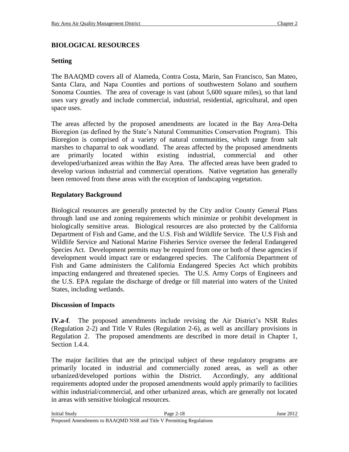## **BIOLOGICAL RESOURCES**

## **Setting**

The BAAQMD covers all of Alameda, Contra Costa, Marin, San Francisco, San Mateo, Santa Clara, and Napa Counties and portions of southwestern Solano and southern Sonoma Counties. The area of coverage is vast (about 5,600 square miles), so that land uses vary greatly and include commercial, industrial, residential, agricultural, and open space uses.

The areas affected by the proposed amendments are located in the Bay Area-Delta Bioregion (as defined by the State's Natural Communities Conservation Program). This Bioregion is comprised of a variety of natural communities, which range from salt marshes to chaparral to oak woodland. The areas affected by the proposed amendments are primarily located within existing industrial, commercial and other developed/urbanized areas within the Bay Area. The affected areas have been graded to develop various industrial and commercial operations. Native vegetation has generally been removed from these areas with the exception of landscaping vegetation.

## **Regulatory Background**

Biological resources are generally protected by the City and/or County General Plans through land use and zoning requirements which minimize or prohibit development in biologically sensitive areas. Biological resources are also protected by the California Department of Fish and Game, and the U.S. Fish and Wildlife Service. The U.S Fish and Wildlife Service and National Marine Fisheries Service oversee the federal Endangered Species Act. Development permits may be required from one or both of these agencies if development would impact rare or endangered species. The California Department of Fish and Game administers the California Endangered Species Act which prohibits impacting endangered and threatened species. The U.S. Army Corps of Engineers and the U.S. EPA regulate the discharge of dredge or fill material into waters of the United States, including wetlands.

## **Discussion of Impacts**

**IV.a-f**. The proposed amendments include revising the Air District's NSR Rules (Regulation 2-2) and Title V Rules (Regulation 2-6), as well as ancillary provisions in Regulation 2. The proposed amendments are described in more detail in Chapter 1, Section 1.4.4.

The major facilities that are the principal subject of these regulatory programs are primarily located in industrial and commercially zoned areas, as well as other urbanized/developed portions within the District. Accordingly, any additional requirements adopted under the proposed amendments would apply primarily to facilities within industrial/commercial, and other urbanized areas, which are generally not located in areas with sensitive biological resources.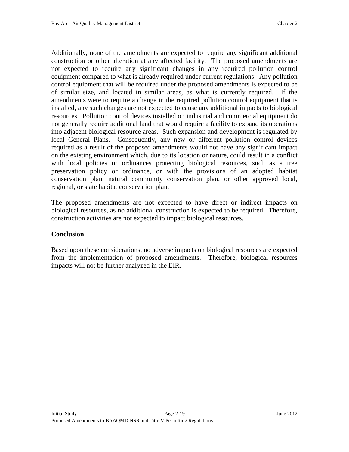Additionally, none of the amendments are expected to require any significant additional construction or other alteration at any affected facility. The proposed amendments are not expected to require any significant changes in any required pollution control equipment compared to what is already required under current regulations. Any pollution control equipment that will be required under the proposed amendments is expected to be of similar size, and located in similar areas, as what is currently required. If the amendments were to require a change in the required pollution control equipment that is installed, any such changes are not expected to cause any additional impacts to biological resources. Pollution control devices installed on industrial and commercial equipment do not generally require additional land that would require a facility to expand its operations into adjacent biological resource areas. Such expansion and development is regulated by local General Plans. Consequently, any new or different pollution control devices required as a result of the proposed amendments would not have any significant impact on the existing environment which, due to its location or nature, could result in a conflict with local policies or ordinances protecting biological resources, such as a tree preservation policy or ordinance, or with the provisions of an adopted habitat conservation plan, natural community conservation plan, or other approved local, regional, or state habitat conservation plan.

The proposed amendments are not expected to have direct or indirect impacts on biological resources, as no additional construction is expected to be required. Therefore, construction activities are not expected to impact biological resources.

## **Conclusion**

Based upon these considerations, no adverse impacts on biological resources are expected from the implementation of proposed amendments. Therefore, biological resources impacts will not be further analyzed in the EIR.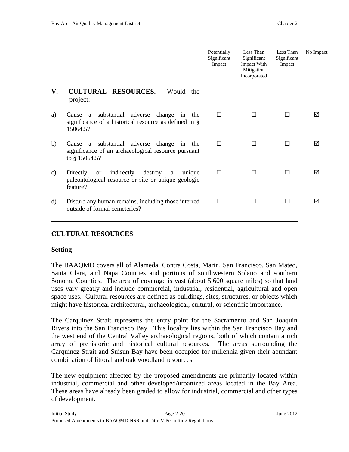|    |                                                                                                                                  | Potentially<br>Significant<br>Impact | Less Than<br>Significant<br><b>Impact With</b><br>Mitigation<br>Incorporated | Less Than<br>Significant<br>Impact | No Impact |
|----|----------------------------------------------------------------------------------------------------------------------------------|--------------------------------------|------------------------------------------------------------------------------|------------------------------------|-----------|
| V. | <b>CULTURAL RESOURCES.</b><br>Would the<br>project:                                                                              |                                      |                                                                              |                                    |           |
| a) | Cause a substantial adverse change in the<br>significance of a historical resource as defined in §<br>15064.5?                   | П                                    | П                                                                            |                                    | ⊠         |
| b) | Cause a substantial adverse change in<br>the<br>significance of an archaeological resource pursuant<br>to § 15064.5?             | п                                    | П                                                                            | П                                  | ⊠         |
| c) | indirectly<br>destroy<br>Directly<br><b>or</b><br>unique<br>a<br>paleontological resource or site or unique geologic<br>feature? | П                                    | П                                                                            | П                                  | ⊠         |
| d) | Disturb any human remains, including those interred<br>outside of formal cemeteries?                                             | П                                    |                                                                              |                                    | ⊠         |

## **CULTURAL RESOURCES**

#### **Setting**

The BAAQMD covers all of Alameda, Contra Costa, Marin, San Francisco, San Mateo, Santa Clara, and Napa Counties and portions of southwestern Solano and southern Sonoma Counties. The area of coverage is vast (about 5,600 square miles) so that land uses vary greatly and include commercial, industrial, residential, agricultural and open space uses. Cultural resources are defined as buildings, sites, structures, or objects which might have historical architectural, archaeological, cultural, or scientific importance.

The Carquinez Strait represents the entry point for the Sacramento and San Joaquin Rivers into the San Francisco Bay. This locality lies within the San Francisco Bay and the west end of the Central Valley archaeological regions, both of which contain a rich array of prehistoric and historical cultural resources. The areas surrounding the Carquinez Strait and Suisun Bay have been occupied for millennia given their abundant combination of littoral and oak woodland resources.

The new equipment affected by the proposed amendments are primarily located within industrial, commercial and other developed/urbanized areas located in the Bay Area. These areas have already been graded to allow for industrial, commercial and other types of development.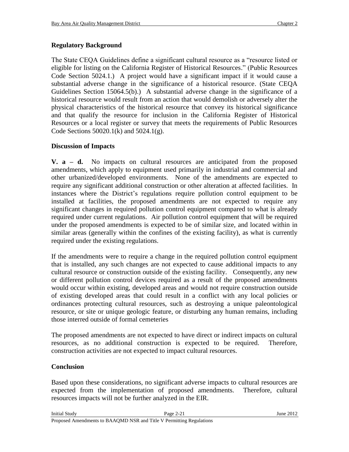# **Regulatory Background**

The State CEQA Guidelines define a significant cultural resource as a "resource listed or eligible for listing on the California Register of Historical Resources." (Public Resources Code Section 5024.1.) A project would have a significant impact if it would cause a substantial adverse change in the significance of a historical resource. (State CEQA Guidelines Section 15064.5(b).) A substantial adverse change in the significance of a historical resource would result from an action that would demolish or adversely alter the physical characteristics of the historical resource that convey its historical significance and that qualify the resource for inclusion in the California Register of Historical Resources or a local register or survey that meets the requirements of Public Resources Code Sections 50020.1(k) and 5024.1(g).

## **Discussion of Impacts**

**V. a – d.** No impacts on cultural resources are anticipated from the proposed amendments, which apply to equipment used primarily in industrial and commercial and other urbanized/developed environments. None of the amendments are expected to require any significant additional construction or other alteration at affected facilities. In instances where the District's regulations require pollution control equipment to be installed at facilities, the proposed amendments are not expected to require any significant changes in required pollution control equipment compared to what is already required under current regulations. Air pollution control equipment that will be required under the proposed amendments is expected to be of similar size, and located within in similar areas (generally within the confines of the existing facility), as what is currently required under the existing regulations.

If the amendments were to require a change in the required pollution control equipment that is installed, any such changes are not expected to cause additional impacts to any cultural resource or construction outside of the existing facility. Consequently, any new or different pollution control devices required as a result of the proposed amendments would occur within existing, developed areas and would not require construction outside of existing developed areas that could result in a conflict with any local policies or ordinances protecting cultural resources, such as destroying a unique paleontological resource, or site or unique geologic feature, or disturbing any human remains, including those interred outside of formal cemeteries

The proposed amendments are not expected to have direct or indirect impacts on cultural resources, as no additional construction is expected to be required. Therefore, construction activities are not expected to impact cultural resources.

## **Conclusion**

Based upon these considerations, no significant adverse impacts to cultural resources are expected from the implementation of proposed amendments. Therefore, cultural resources impacts will not be further analyzed in the EIR.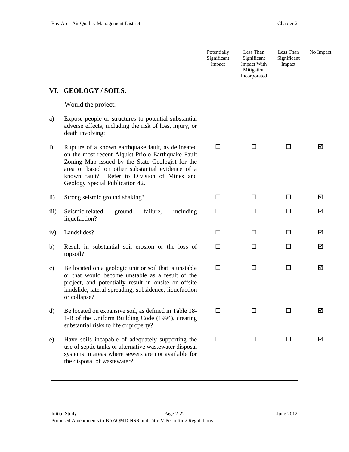|               |                                                                                                                                                                                                                                                                                                       | Potentially<br>Significant<br>Impact | Less Than<br>Significant<br><b>Impact With</b><br>Mitigation<br>Incorporated | Less Than<br>Significant<br>Impact | No Impact |
|---------------|-------------------------------------------------------------------------------------------------------------------------------------------------------------------------------------------------------------------------------------------------------------------------------------------------------|--------------------------------------|------------------------------------------------------------------------------|------------------------------------|-----------|
| VI.           | <b>GEOLOGY/SOILS.</b>                                                                                                                                                                                                                                                                                 |                                      |                                                                              |                                    |           |
|               | Would the project:                                                                                                                                                                                                                                                                                    |                                      |                                                                              |                                    |           |
| a)            | Expose people or structures to potential substantial<br>adverse effects, including the risk of loss, injury, or<br>death involving:                                                                                                                                                                   |                                      |                                                                              |                                    |           |
| $\mathbf{i}$  | Rupture of a known earthquake fault, as delineated<br>on the most recent Alquist-Priolo Earthquake Fault<br>Zoning Map issued by the State Geologist for the<br>area or based on other substantial evidence of a<br>Refer to Division of Mines and<br>known fault?<br>Geology Special Publication 42. | $\Box$                               | □                                                                            | $\Box$                             | ☑         |
| $\rm ii)$     | Strong seismic ground shaking?                                                                                                                                                                                                                                                                        | □                                    | □                                                                            | $\Box$                             | ☑         |
| iii)          | Seismic-related<br>failure,<br>including<br>ground<br>liquefaction?                                                                                                                                                                                                                                   | $\Box$                               | $\Box$                                                                       | $\Box$                             | ☑         |
| iv)           | Landslides?                                                                                                                                                                                                                                                                                           | □                                    | □                                                                            | □                                  | ☑         |
| b)            | Result in substantial soil erosion or the loss of<br>topsoil?                                                                                                                                                                                                                                         | $\Box$                               | $\Box$                                                                       | $\Box$                             | ☑         |
| $\mathbf{c})$ | Be located on a geologic unit or soil that is unstable<br>or that would become unstable as a result of the<br>project, and potentially result in onsite or offsite<br>landslide, lateral spreading, subsidence, liquefaction<br>or collapse?                                                          | $\Box$                               | □                                                                            | $\Box$                             | ☑         |
| $\rm d)$      | Be located on expansive soil, as defined in Table 18-<br>1-B of the Uniform Building Code (1994), creating<br>substantial risks to life or property?                                                                                                                                                  | □                                    | ΙI                                                                           | $\mathsf{L}$                       | ☑         |
| e)            | Have soils incapable of adequately supporting the<br>use of septic tanks or alternative wastewater disposal<br>systems in areas where sewers are not available for<br>the disposal of wastewater?                                                                                                     | $\Box$                               | Ш                                                                            | П                                  | ☑         |
|               |                                                                                                                                                                                                                                                                                                       |                                      |                                                                              |                                    |           |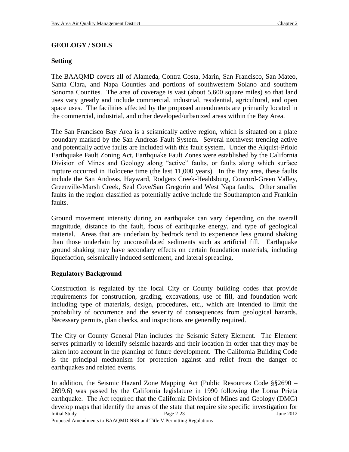## **GEOLOGY / SOILS**

## **Setting**

The BAAQMD covers all of Alameda, Contra Costa, Marin, San Francisco, San Mateo, Santa Clara, and Napa Counties and portions of southwestern Solano and southern Sonoma Counties. The area of coverage is vast (about 5,600 square miles) so that land uses vary greatly and include commercial, industrial, residential, agricultural, and open space uses. The facilities affected by the proposed amendments are primarily located in the commercial, industrial, and other developed/urbanized areas within the Bay Area.

The San Francisco Bay Area is a seismically active region, which is situated on a plate boundary marked by the San Andreas Fault System. Several northwest trending active and potentially active faults are included with this fault system. Under the Alquist-Priolo Earthquake Fault Zoning Act, Earthquake Fault Zones were established by the California Division of Mines and Geology along "active" faults, or faults along which surface rupture occurred in Holocene time (the last 11,000 years). In the Bay area, these faults include the San Andreas, Hayward, Rodgers Creek-Healdsburg, Concord-Green Valley, Greenville-Marsh Creek, Seal Cove/San Gregorio and West Napa faults. Other smaller faults in the region classified as potentially active include the Southampton and Franklin faults.

Ground movement intensity during an earthquake can vary depending on the overall magnitude, distance to the fault, focus of earthquake energy, and type of geological material. Areas that are underlain by bedrock tend to experience less ground shaking than those underlain by unconsolidated sediments such as artificial fill. Earthquake ground shaking may have secondary effects on certain foundation materials, including liquefaction, seismically induced settlement, and lateral spreading.

## **Regulatory Background**

Construction is regulated by the local City or County building codes that provide requirements for construction, grading, excavations, use of fill, and foundation work including type of materials, design, procedures, etc., which are intended to limit the probability of occurrence and the severity of consequences from geological hazards. Necessary permits, plan checks, and inspections are generally required.

The City or County General Plan includes the Seismic Safety Element. The Element serves primarily to identify seismic hazards and their location in order that they may be taken into account in the planning of future development. The California Building Code is the principal mechanism for protection against and relief from the danger of earthquakes and related events.

Initial Study **Page 2-23** June 2012 In addition, the Seismic Hazard Zone Mapping Act (Public Resources Code §§2690 – 2699.6) was passed by the California legislature in 1990 following the Loma Prieta earthquake. The Act required that the California Division of Mines and Geology (DMG) develop maps that identify the areas of the state that require site specific investigation for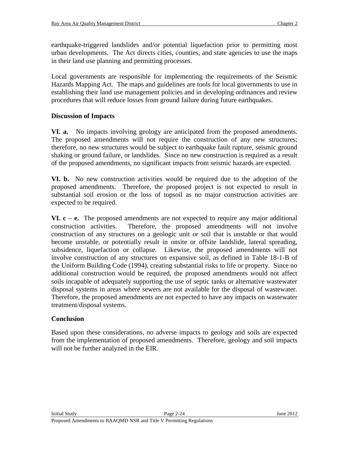earthquake-triggered landslides and/or potential liquefaction prior to permitting most urban developments. The Act directs cities, counties, and state agencies to use the maps in their land use planning and permitting processes.

Local governments are responsible for implementing the requirements of the Seismic Hazards Mapping Act. The maps and guidelines are tools for local governments to use in establishing their land use management policies and in developing ordinances and review procedures that will reduce losses from ground failure during future earthquakes.

# **Discussion of Impacts**

**VI. a.** No impacts involving geology are anticipated from the proposed amendments. The proposed amendments will not require the construction of any new structures; therefore, no new structures would be subject to earthquake fault rupture, seismic ground shaking or ground failure, or landslides. Since no new construction is required as a result of the proposed amendments, no significant impacts from seismic hazards are expected.

**VI. b.** No new construction activities would be required due to the adoption of the proposed amendments. Therefore, the proposed project is not expected to result in substantial soil erosion or the loss of topsoil as no major construction activities are expected to be required.

**VI.**  $c - e$ **.** The proposed amendments are not expected to require any major additional construction activities. Therefore, the proposed amendments will not involve construction of any structures on a geologic unit or soil that is unstable or that would become unstable, or potentially result in onsite or offsite landslide, lateral spreading, subsidence, liquefaction or collapse. Likewise, the proposed amendments will not involve construction of any structures on expansive soil, as defined in Table 18-1-B of the Uniform Building Code (1994), creating substantial risks to life or property. Since no additional construction would be required, the proposed amendments would not affect soils incapable of adequately supporting the use of septic tanks or alternative wastewater disposal systems in areas where sewers are not available for the disposal of wastewater. Therefore, the proposed amendments are not expected to have any impacts on wastewater treatment/disposal systems.

# **Conclusion**

Based upon these considerations, no adverse impacts to geology and soils are expected from the implementation of proposed amendments. Therefore, geology and soil impacts will not be further analyzed in the EIR.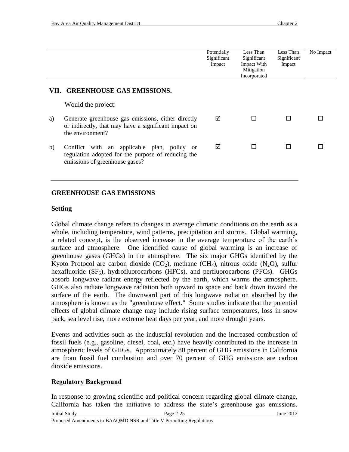|    |                                                                                                                                     | Potentially<br>Significant<br>Impact | Less Than<br>Significant<br>Impact With<br>Mitigation<br>Incorporated | Less Than<br>Significant<br>Impact | No Impact |  |  |  |
|----|-------------------------------------------------------------------------------------------------------------------------------------|--------------------------------------|-----------------------------------------------------------------------|------------------------------------|-----------|--|--|--|
|    | VII. GREENHOUSE GAS EMISSIONS.                                                                                                      |                                      |                                                                       |                                    |           |  |  |  |
|    | Would the project:                                                                                                                  |                                      |                                                                       |                                    |           |  |  |  |
| a) | Generate greenhouse gas emissions, either directly<br>or indirectly, that may have a significant impact on<br>the environment?      | ☑                                    |                                                                       | П                                  |           |  |  |  |
| b) | Conflict with an applicable plan, policy or<br>regulation adopted for the purpose of reducing the<br>emissions of greenhouse gases? | ☑                                    |                                                                       | П                                  |           |  |  |  |

### **GREENHOUSE GAS EMISSIONS**

#### **Setting**

Global climate change refers to changes in average climatic conditions on the earth as a whole, including temperature, wind patterns, precipitation and storms. Global warming, a related concept, is the observed increase in the average temperature of the earth's surface and atmosphere. One identified cause of global warming is an increase of greenhouse gases (GHGs) in the atmosphere. The six major GHGs identified by the Kyoto Protocol are carbon dioxide  $(CO_2)$ , methane  $(CH_4)$ , nitrous oxide  $(N_2O)$ , sulfur hexafluoride  $(SF_6)$ , hydrofluorocarbons (HFCs), and perfluorocarbons (PFCs). GHGs absorb longwave radiant energy reflected by the earth, which warms the atmosphere. GHGs also radiate longwave radiation both upward to space and back down toward the surface of the earth. The downward part of this longwave radiation absorbed by the atmosphere is known as the "greenhouse effect." Some studies indicate that the potential effects of global climate change may include rising surface temperatures, loss in snow pack, sea level rise, more extreme heat days per year, and more drought years.

Events and activities such as the industrial revolution and the increased combustion of fossil fuels (e.g., gasoline, diesel, coal, etc.) have heavily contributed to the increase in atmospheric levels of GHGs. Approximately 80 percent of GHG emissions in California are from fossil fuel combustion and over 70 percent of GHG emissions are carbon dioxide emissions.

## **Regulatory Background**

In response to growing scientific and political concern regarding global climate change, California has taken the initiative to address the state's greenhouse gas emissions.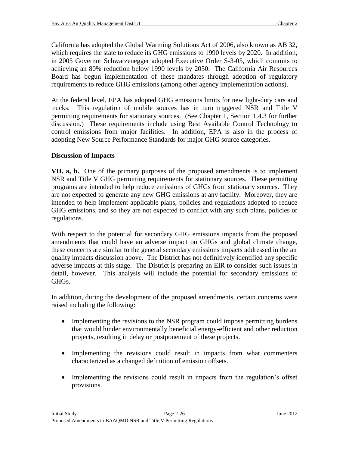California has adopted the Global Warming Solutions Act of 2006, also known as AB 32, which requires the state to reduce its GHG emissions to 1990 levels by 2020. In addition, in 2005 Governor Schwarzenegger adopted Executive Order S-3-05, which commits to achieving an 80% reduction below 1990 levels by 2050. The California Air Resources Board has begun implementation of these mandates through adoption of regulatory requirements to reduce GHG emissions (among other agency implementation actions).

At the federal level, EPA has adopted GHG emissions limits for new light-duty cars and trucks. This regulation of mobile sources has in turn triggered NSR and Title V permitting requirements for stationary sources. (See Chapter 1, Section 1.4.3 for further discussion.) These requirements include using Best Available Control Technology to control emissions from major facilities. In addition, EPA is also in the process of adopting New Source Performance Standards for major GHG source categories.

## **Discussion of Impacts**

**VII. a, b.** One of the primary purposes of the proposed amendments is to implement NSR and Title V GHG permitting requirements for stationary sources. These permitting programs are intended to help reduce emissions of GHGs from stationary sources. They are not expected to generate any new GHG emissions at any facility. Moreover, they are intended to help implement applicable plans, policies and regulations adopted to reduce GHG emissions, and so they are not expected to conflict with any such plans, policies or regulations.

With respect to the potential for secondary GHG emissions impacts from the proposed amendments that could have an adverse impact on GHGs and global climate change, these concerns are similar to the general secondary emissions impacts addressed in the air quality impacts discussion above. The District has not definitively identified any specific adverse impacts at this stage. The District is preparing an EIR to consider such issues in detail, however. This analysis will include the potential for secondary emissions of GHGs.

In addition, during the development of the proposed amendments, certain concerns were raised including the following:

- Implementing the revisions to the NSR program could impose permitting burdens that would hinder environmentally beneficial energy-efficient and other reduction projects, resulting in delay or postponement of these projects.
- Implementing the revisions could result in impacts from what commenters characterized as a changed definition of emission offsets.
- Implementing the revisions could result in impacts from the regulation's offset provisions.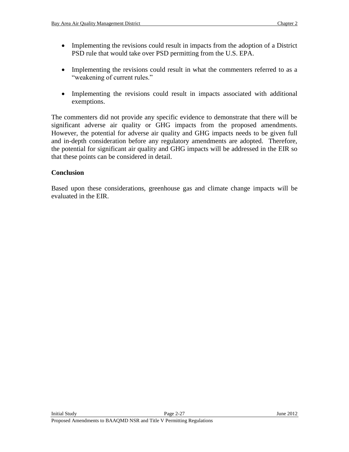- Implementing the revisions could result in impacts from the adoption of a District PSD rule that would take over PSD permitting from the U.S. EPA.
- Implementing the revisions could result in what the commenters referred to as a "weakening of current rules."
- Implementing the revisions could result in impacts associated with additional exemptions.

The commenters did not provide any specific evidence to demonstrate that there will be significant adverse air quality or GHG impacts from the proposed amendments. However, the potential for adverse air quality and GHG impacts needs to be given full and in-depth consideration before any regulatory amendments are adopted. Therefore, the potential for significant air quality and GHG impacts will be addressed in the EIR so that these points can be considered in detail.

### **Conclusion**

Based upon these considerations, greenhouse gas and climate change impacts will be evaluated in the EIR.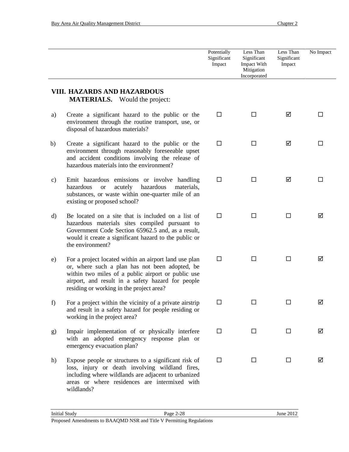|    |                                                                                                                                                                                                                                                                | Potentially<br>Significant<br>Impact | Less Than<br>Significant<br>Impact With<br>Mitigation<br>Incorporated | Less Than<br>Significant<br>Impact | No Impact |
|----|----------------------------------------------------------------------------------------------------------------------------------------------------------------------------------------------------------------------------------------------------------------|--------------------------------------|-----------------------------------------------------------------------|------------------------------------|-----------|
|    | <b>VIII. HAZARDS AND HAZARDOUS</b><br><b>MATERIALS.</b> Would the project:                                                                                                                                                                                     |                                      |                                                                       |                                    |           |
| a) | Create a significant hazard to the public or the<br>environment through the routine transport, use, or<br>disposal of hazardous materials?                                                                                                                     | $\Box$                               | □                                                                     | ☑                                  | П         |
| b) | Create a significant hazard to the public or the<br>environment through reasonably foreseeable upset<br>and accident conditions involving the release of<br>hazardous materials into the environment?                                                          | □                                    | $\Box$                                                                | ☑                                  | $\Box$    |
| c) | Emit hazardous emissions or involve handling<br>hazardous<br>hazardous<br>acutely<br>materials,<br><b>or</b><br>substances, or waste within one-quarter mile of an<br>existing or proposed school?                                                             | $\Box$                               | П                                                                     | ☑                                  | П         |
| d) | Be located on a site that is included on a list of<br>hazardous materials sites compiled pursuant to<br>Government Code Section 65962.5 and, as a result,<br>would it create a significant hazard to the public or<br>the environment?                         | $\Box$                               | $\Box$                                                                | П                                  | ☑         |
| e) | For a project located within an airport land use plan<br>or, where such a plan has not been adopted, be<br>within two miles of a public airport or public use<br>airport, and result in a safety hazard for people<br>residing or working in the project area? | $\Box$                               | $\Box$                                                                | □                                  | ☑         |
| f) | For a project within the vicinity of a private airstrip<br>and result in a safety hazard for people residing or<br>working in the project area?                                                                                                                |                                      |                                                                       |                                    | ☑         |
| g) | Impair implementation of or physically interfere<br>with an adopted emergency response plan or<br>emergency evacuation plan?                                                                                                                                   | $\Box$                               | $\Box$                                                                | □                                  | ☑         |
| h) | Expose people or structures to a significant risk of<br>loss, injury or death involving wildland fires,<br>including where wildlands are adjacent to urbanized<br>areas or where residences are intermixed with<br>wildlands?                                  | $\Box$                               | □                                                                     | $\Box$                             | ☑         |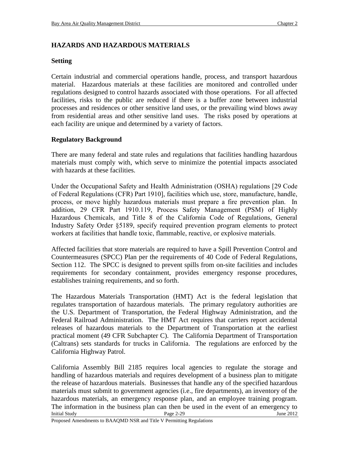# **HAZARDS AND HAZARDOUS MATERIALS**

### **Setting**

Certain industrial and commercial operations handle, process, and transport hazardous material. Hazardous materials at these facilities are monitored and controlled under regulations designed to control hazards associated with those operations. For all affected facilities, risks to the public are reduced if there is a buffer zone between industrial processes and residences or other sensitive land uses, or the prevailing wind blows away from residential areas and other sensitive land uses. The risks posed by operations at each facility are unique and determined by a variety of factors.

## **Regulatory Background**

There are many federal and state rules and regulations that facilities handling hazardous materials must comply with, which serve to minimize the potential impacts associated with hazards at these facilities.

Under the Occupational Safety and Health Administration (OSHA) regulations [29 Code of Federal Regulations (CFR) Part 1910], facilities which use, store, manufacture, handle, process, or move highly hazardous materials must prepare a fire prevention plan. In addition, 29 CFR Part 1910.119, Process Safety Management (PSM) of Highly Hazardous Chemicals, and Title 8 of the California Code of Regulations, General Industry Safety Order §5189, specify required prevention program elements to protect workers at facilities that handle toxic, flammable, reactive, or explosive materials.

Affected facilities that store materials are required to have a Spill Prevention Control and Countermeasures (SPCC) Plan per the requirements of 40 Code of Federal Regulations, Section 112. The SPCC is designed to prevent spills from on-site facilities and includes requirements for secondary containment, provides emergency response procedures, establishes training requirements, and so forth.

The Hazardous Materials Transportation (HMT) Act is the federal legislation that regulates transportation of hazardous materials. The primary regulatory authorities are the U.S. Department of Transportation, the Federal Highway Administration, and the Federal Railroad Administration. The HMT Act requires that carriers report accidental releases of hazardous materials to the Department of Transportation at the earliest practical moment (49 CFR Subchapter C). The California Department of Transportation (Caltrans) sets standards for trucks in California. The regulations are enforced by the California Highway Patrol.

Initial Study **Page 2-29** June 2012 California Assembly Bill 2185 requires local agencies to regulate the storage and handling of hazardous materials and requires development of a business plan to mitigate the release of hazardous materials. Businesses that handle any of the specified hazardous materials must submit to government agencies (i.e., fire departments), an inventory of the hazardous materials, an emergency response plan, and an employee training program. The information in the business plan can then be used in the event of an emergency to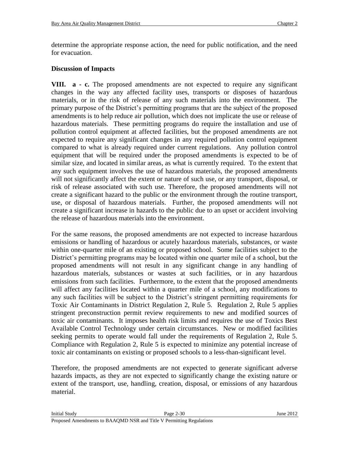determine the appropriate response action, the need for public notification, and the need for evacuation.

### **Discussion of Impacts**

**VIII. a - c.** The proposed amendments are not expected to require any significant changes in the way any affected facility uses, transports or disposes of hazardous materials, or in the risk of release of any such materials into the environment. The primary purpose of the District's permitting programs that are the subject of the proposed amendments is to help reduce air pollution, which does not implicate the use or release of hazardous materials. These permitting programs do require the installation and use of pollution control equipment at affected facilities, but the proposed amendments are not expected to require any significant changes in any required pollution control equipment compared to what is already required under current regulations. Any pollution control equipment that will be required under the proposed amendments is expected to be of similar size, and located in similar areas, as what is currently required. To the extent that any such equipment involves the use of hazardous materials, the proposed amendments will not significantly affect the extent or nature of such use, or any transport, disposal, or risk of release associated with such use. Therefore, the proposed amendments will not create a significant hazard to the public or the environment through the routine transport, use, or disposal of hazardous materials. Further, the proposed amendments will not create a significant increase in hazards to the public due to an upset or accident involving the release of hazardous materials into the environment.

For the same reasons, the proposed amendments are not expected to increase hazardous emissions or handling of hazardous or acutely hazardous materials, substances, or waste within one-quarter mile of an existing or proposed school. Some facilities subject to the District's permitting programs may be located within one quarter mile of a school, but the proposed amendments will not result in any significant change in any handling of hazardous materials, substances or wastes at such facilities, or in any hazardous emissions from such facilities. Furthermore, to the extent that the proposed amendments will affect any facilities located within a quarter mile of a school, any modifications to any such facilities will be subject to the District's stringent permitting requirements for Toxic Air Contaminants in District Regulation 2, Rule 5. Regulation 2, Rule 5 applies stringent preconstruction permit review requirements to new and modified sources of toxic air contaminants. It imposes health risk limits and requires the use of Toxics Best Available Control Technology under certain circumstances. New or modified facilities seeking permits to operate would fall under the requirements of Regulation 2, Rule 5. Compliance with Regulation 2, Rule 5 is expected to minimize any potential increase of toxic air contaminants on existing or proposed schools to a less-than-significant level.

Therefore, the proposed amendments are not expected to generate significant adverse hazards impacts, as they are not expected to significantly change the existing nature or extent of the transport, use, handling, creation, disposal, or emissions of any hazardous material.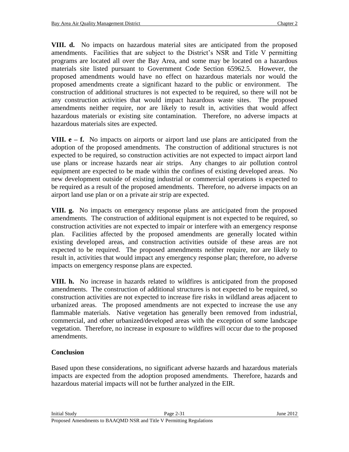**VIII. d.** No impacts on hazardous material sites are anticipated from the proposed amendments. Facilities that are subject to the District's NSR and Title V permitting programs are located all over the Bay Area, and some may be located on a hazardous materials site listed pursuant to Government Code Section 65962.5. However, the proposed amendments would have no effect on hazardous materials nor would the proposed amendments create a significant hazard to the public or environment. The construction of additional structures is not expected to be required, so there will not be any construction activities that would impact hazardous waste sites. The proposed amendments neither require, nor are likely to result in, activities that would affect hazardous materials or existing site contamination. Therefore, no adverse impacts at hazardous materials sites are expected.

**VIII. e – f.** No impacts on airports or airport land use plans are anticipated from the adoption of the proposed amendments. The construction of additional structures is not expected to be required, so construction activities are not expected to impact airport land use plans or increase hazards near air strips. Any changes to air pollution control equipment are expected to be made within the confines of existing developed areas. No new development outside of existing industrial or commercial operations is expected to be required as a result of the proposed amendments. Therefore, no adverse impacts on an airport land use plan or on a private air strip are expected.

**VIII. g.** No impacts on emergency response plans are anticipated from the proposed amendments. The construction of additional equipment is not expected to be required, so construction activities are not expected to impair or interfere with an emergency response plan. Facilities affected by the proposed amendments are generally located within existing developed areas, and construction activities outside of these areas are not expected to be required. The proposed amendments neither require, nor are likely to result in, activities that would impact any emergency response plan; therefore, no adverse impacts on emergency response plans are expected.

**VIII. h.** No increase in hazards related to wildfires is anticipated from the proposed amendments. The construction of additional structures is not expected to be required, so construction activities are not expected to increase fire risks in wildland areas adjacent to urbanized areas. The proposed amendments are not expected to increase the use any flammable materials. Native vegetation has generally been removed from industrial, commercial, and other urbanized/developed areas with the exception of some landscape vegetation. Therefore, no increase in exposure to wildfires will occur due to the proposed amendments.

# **Conclusion**

Based upon these considerations, no significant adverse hazards and hazardous materials impacts are expected from the adoption proposed amendments. Therefore, hazards and hazardous material impacts will not be further analyzed in the EIR.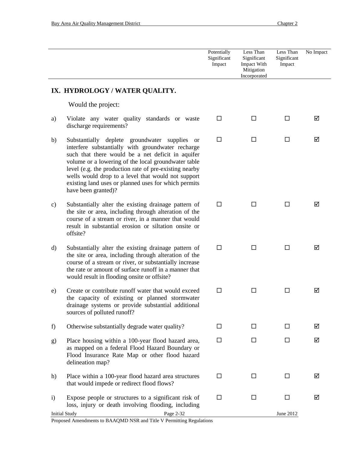|               |                                                                                                                                                                                                                                                                                                                                                                                                                                | Potentially<br>Significant<br>Impact | Less Than<br>Significant<br>Impact With<br>Mitigation<br>Incorporated | Less Than<br>Significant<br>Impact | No Impact |
|---------------|--------------------------------------------------------------------------------------------------------------------------------------------------------------------------------------------------------------------------------------------------------------------------------------------------------------------------------------------------------------------------------------------------------------------------------|--------------------------------------|-----------------------------------------------------------------------|------------------------------------|-----------|
|               | IX. HYDROLOGY / WATER QUALITY.                                                                                                                                                                                                                                                                                                                                                                                                 |                                      |                                                                       |                                    |           |
|               | Would the project:                                                                                                                                                                                                                                                                                                                                                                                                             |                                      |                                                                       |                                    |           |
| a)            | Violate any water quality standards or waste<br>discharge requirements?                                                                                                                                                                                                                                                                                                                                                        | □                                    | Ш                                                                     | □                                  | ☑         |
| b)            | Substantially deplete groundwater<br>supplies<br><sub>or</sub><br>interfere substantially with groundwater recharge<br>such that there would be a net deficit in aquifer<br>volume or a lowering of the local groundwater table<br>level (e.g. the production rate of pre-existing nearby<br>wells would drop to a level that would not support<br>existing land uses or planned uses for which permits<br>have been granted)? | $\Box$                               | □                                                                     | □                                  | ☑         |
| $\mathbf{c})$ | Substantially alter the existing drainage pattern of<br>the site or area, including through alteration of the<br>course of a stream or river, in a manner that would<br>result in substantial erosion or siltation onsite or<br>offsite?                                                                                                                                                                                       | $\Box$                               | ш                                                                     | $\Box$                             | ☑         |
| $\rm d)$      | Substantially alter the existing drainage pattern of<br>the site or area, including through alteration of the<br>course of a stream or river, or substantially increase<br>the rate or amount of surface runoff in a manner that<br>would result in flooding onsite or offsite?                                                                                                                                                | $\Box$                               | □                                                                     | $\Box$                             | ☑         |
| e)            | Create or contribute runoff water that would exceed<br>the capacity of existing or planned stormwater<br>drainage systems or provide substantial additional<br>sources of polluted runoff?                                                                                                                                                                                                                                     | $\Box$                               | □                                                                     | □                                  | ☑         |
| f)            | Otherwise substantially degrade water quality?                                                                                                                                                                                                                                                                                                                                                                                 | $\Box$                               | □                                                                     | $\Box$                             | ☑         |
| g)            | Place housing within a 100-year flood hazard area,<br>as mapped on a federal Flood Hazard Boundary or<br>Flood Insurance Rate Map or other flood hazard<br>delineation map?                                                                                                                                                                                                                                                    | $\Box$                               | □                                                                     | $\Box$                             | ☑         |
| h)            | Place within a 100-year flood hazard area structures<br>that would impede or redirect flood flows?                                                                                                                                                                                                                                                                                                                             | □                                    | $\Box$                                                                | □                                  | ☑         |
| $\mathbf{i}$  | Expose people or structures to a significant risk of<br>loss, injury or death involving flooding, including                                                                                                                                                                                                                                                                                                                    | □                                    | $\Box$                                                                | □                                  | ☑         |
|               | Page 2-32<br><b>Initial Study</b><br>Proposed Amendments to BAAQMD NSR and Title V Permitting Regulations                                                                                                                                                                                                                                                                                                                      |                                      |                                                                       | June 2012                          |           |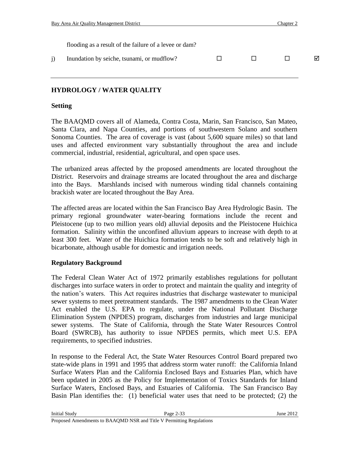| Bay Area Air Quality Management District               |  | Chapter 2 |   |
|--------------------------------------------------------|--|-----------|---|
|                                                        |  |           |   |
| flooding as a result of the failure of a levee or dam? |  |           |   |
| Inundation by seiche, tsunami, or mudflow?             |  |           | ⊠ |

## **HYDROLOGY / WATER QUALITY**

### **Setting**

The BAAQMD covers all of Alameda, Contra Costa, Marin, San Francisco, San Mateo, Santa Clara, and Napa Counties, and portions of southwestern Solano and southern Sonoma Counties. The area of coverage is vast (about 5,600 square miles) so that land uses and affected environment vary substantially throughout the area and include commercial, industrial, residential, agricultural, and open space uses.

The urbanized areas affected by the proposed amendments are located throughout the District. Reservoirs and drainage streams are located throughout the area and discharge into the Bays. Marshlands incised with numerous winding tidal channels containing brackish water are located throughout the Bay Area.

The affected areas are located within the San Francisco Bay Area Hydrologic Basin. The primary regional groundwater water-bearing formations include the recent and Pleistocene (up to two million years old) alluvial deposits and the Pleistocene Huichica formation. Salinity within the unconfined alluvium appears to increase with depth to at least 300 feet. Water of the Huichica formation tends to be soft and relatively high in bicarbonate, although usable for domestic and irrigation needs.

## **Regulatory Background**

The Federal Clean Water Act of 1972 primarily establishes regulations for pollutant discharges into surface waters in order to protect and maintain the quality and integrity of the nation's waters. This Act requires industries that discharge wastewater to municipal sewer systems to meet pretreatment standards. The 1987 amendments to the Clean Water Act enabled the U.S. EPA to regulate, under the National Pollutant Discharge Elimination System (NPDES) program, discharges from industries and large municipal sewer systems. The State of California, through the State Water Resources Control Board (SWRCB), has authority to issue NPDES permits, which meet U.S. EPA requirements, to specified industries.

In response to the Federal Act, the State Water Resources Control Board prepared two state-wide plans in 1991 and 1995 that address storm water runoff: the California Inland Surface Waters Plan and the California Enclosed Bays and Estuaries Plan, which have been updated in 2005 as the Policy for Implementation of Toxics Standards for Inland Surface Waters, Enclosed Bays, and Estuaries of California. The San Francisco Bay Basin Plan identifies the: (1) beneficial water uses that need to be protected; (2) the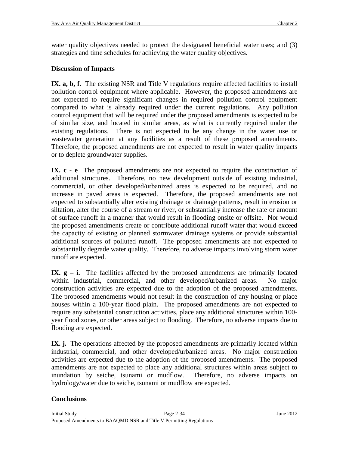water quality objectives needed to protect the designated beneficial water uses; and (3) strategies and time schedules for achieving the water quality objectives.

### **Discussion of Impacts**

**IX. a, b, f.** The existing NSR and Title V regulations require affected facilities to install pollution control equipment where applicable. However, the proposed amendments are not expected to require significant changes in required pollution control equipment compared to what is already required under the current regulations. Any pollution control equipment that will be required under the proposed amendments is expected to be of similar size, and located in similar areas, as what is currently required under the existing regulations. There is not expected to be any change in the water use or wastewater generation at any facilities as a result of these proposed amendments. Therefore, the proposed amendments are not expected to result in water quality impacts or to deplete groundwater supplies.

**IX. c** - **e** The proposed amendments are not expected to require the construction of additional structures. Therefore, no new development outside of existing industrial, commercial, or other developed/urbanized areas is expected to be required, and no increase in paved areas is expected. Therefore, the proposed amendments are not expected to substantially alter existing drainage or drainage patterns, result in erosion or siltation, alter the course of a stream or river, or substantially increase the rate or amount of surface runoff in a manner that would result in flooding onsite or offsite. Nor would the proposed amendments create or contribute additional runoff water that would exceed the capacity of existing or planned stormwater drainage systems or provide substantial additional sources of polluted runoff. The proposed amendments are not expected to substantially degrade water quality. Therefore, no adverse impacts involving storm water runoff are expected.

**IX.**  $g - i$ . The facilities affected by the proposed amendments are primarily located within industrial, commercial, and other developed/urbanized areas. No major construction activities are expected due to the adoption of the proposed amendments. The proposed amendments would not result in the construction of any housing or place houses within a 100-year flood plain. The proposed amendments are not expected to require any substantial construction activities, place any additional structures within 100 year flood zones, or other areas subject to flooding. Therefore, no adverse impacts due to flooding are expected.

**IX. j.** The operations affected by the proposed amendments are primarily located within industrial, commercial, and other developed/urbanized areas. No major construction activities are expected due to the adoption of the proposed amendments. The proposed amendments are not expected to place any additional structures within areas subject to inundation by seiche, tsunami or mudflow. Therefore, no adverse impacts on hydrology/water due to seiche, tsunami or mudflow are expected.

#### **Conclusions**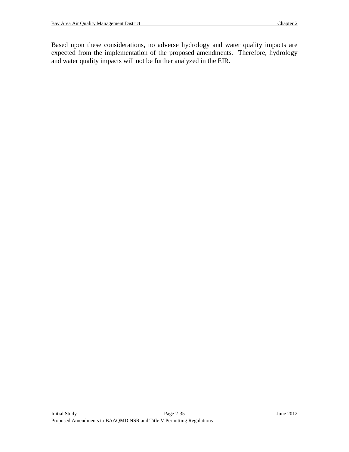Based upon these considerations, no adverse hydrology and water quality impacts are expected from the implementation of the proposed amendments. Therefore, hydrology and water quality impacts will not be further analyzed in the EIR.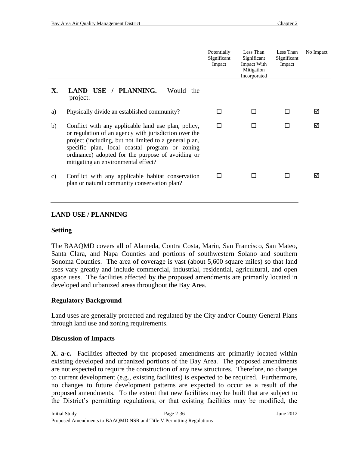|    |                                                                                                                                                                                                                                                                                                                      | Potentially<br>Significant<br>Impact | Less Than<br>Significant<br>Impact With<br>Mitigation<br>Incorporated | Less Than<br>Significant<br>Impact | No Impact |
|----|----------------------------------------------------------------------------------------------------------------------------------------------------------------------------------------------------------------------------------------------------------------------------------------------------------------------|--------------------------------------|-----------------------------------------------------------------------|------------------------------------|-----------|
| X. | LAND USE / PLANNING.<br>Would the<br>project:                                                                                                                                                                                                                                                                        |                                      |                                                                       |                                    |           |
| a) | Physically divide an established community?                                                                                                                                                                                                                                                                          |                                      | П                                                                     | П                                  | ⊠         |
| b) | Conflict with any applicable land use plan, policy,<br>or regulation of an agency with jurisdiction over the<br>project (including, but not limited to a general plan,<br>specific plan, local coastal program or zoning<br>ordinance) adopted for the purpose of avoiding or<br>mitigating an environmental effect? | $\Box$                               |                                                                       |                                    | ⊠         |
| C) | Conflict with any applicable habitat conservation<br>plan or natural community conservation plan?                                                                                                                                                                                                                    |                                      |                                                                       | <b>Talent</b>                      |           |

### **LAND USE / PLANNING**

#### **Setting**

The BAAQMD covers all of Alameda, Contra Costa, Marin, San Francisco, San Mateo, Santa Clara, and Napa Counties and portions of southwestern Solano and southern Sonoma Counties. The area of coverage is vast (about 5,600 square miles) so that land uses vary greatly and include commercial, industrial, residential, agricultural, and open space uses. The facilities affected by the proposed amendments are primarily located in developed and urbanized areas throughout the Bay Area.

#### **Regulatory Background**

Land uses are generally protected and regulated by the City and/or County General Plans through land use and zoning requirements.

#### **Discussion of Impacts**

**X. a-c.** Facilities affected by the proposed amendments are primarily located within existing developed and urbanized portions of the Bay Area. The proposed amendments are not expected to require the construction of any new structures. Therefore, no changes to current development (e.g., existing facilities) is expected to be required. Furthermore, no changes to future development patterns are expected to occur as a result of the proposed amendments. To the extent that new facilities may be built that are subject to the District's permitting regulations, or that existing facilities may be modified, the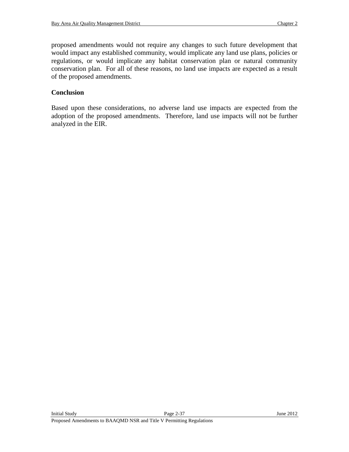proposed amendments would not require any changes to such future development that would impact any established community, would implicate any land use plans, policies or regulations, or would implicate any habitat conservation plan or natural community conservation plan. For all of these reasons, no land use impacts are expected as a result of the proposed amendments.

### **Conclusion**

Based upon these considerations, no adverse land use impacts are expected from the adoption of the proposed amendments. Therefore, land use impacts will not be further analyzed in the EIR.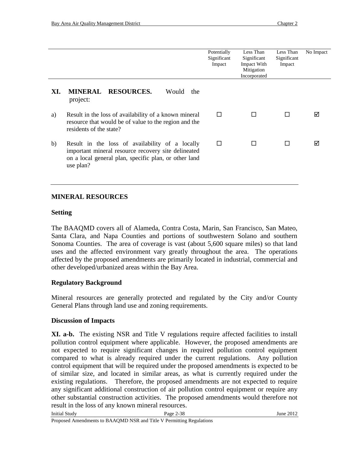|     |                                                                                                                                                                              | Potentially<br>Significant<br>Impact | Less Than<br>Significant<br>Impact With<br>Mitigation<br>Incorporated | Less Than<br>Significant<br>Impact | No Impact |
|-----|------------------------------------------------------------------------------------------------------------------------------------------------------------------------------|--------------------------------------|-----------------------------------------------------------------------|------------------------------------|-----------|
| XI. | MINERAL RESOURCES.<br>Would<br>the<br>project:                                                                                                                               |                                      |                                                                       |                                    |           |
| a)  | Result in the loss of availability of a known mineral<br>resource that would be of value to the region and the<br>residents of the state?                                    | П                                    |                                                                       | $\Box$                             | ⋈         |
| b)  | Result in the loss of availability of a locally<br>important mineral resource recovery site delineated<br>on a local general plan, specific plan, or other land<br>use plan? | $\mathsf{L}$                         |                                                                       | П                                  | ⋈         |

### **MINERAL RESOURCES**

#### **Setting**

The BAAQMD covers all of Alameda, Contra Costa, Marin, San Francisco, San Mateo, Santa Clara, and Napa Counties and portions of southwestern Solano and southern Sonoma Counties. The area of coverage is vast (about 5,600 square miles) so that land uses and the affected environment vary greatly throughout the area. The operations affected by the proposed amendments are primarily located in industrial, commercial and other developed/urbanized areas within the Bay Area.

#### **Regulatory Background**

Mineral resources are generally protected and regulated by the City and/or County General Plans through land use and zoning requirements.

#### **Discussion of Impacts**

**XI. a-b.** The existing NSR and Title V regulations require affected facilities to install pollution control equipment where applicable. However, the proposed amendments are not expected to require significant changes in required pollution control equipment compared to what is already required under the current regulations. Any pollution control equipment that will be required under the proposed amendments is expected to be of similar size, and located in similar areas, as what is currently required under the existing regulations. Therefore, the proposed amendments are not expected to require any significant additional construction of air pollution control equipment or require any other substantial construction activities. The proposed amendments would therefore not result in the loss of any known mineral resources.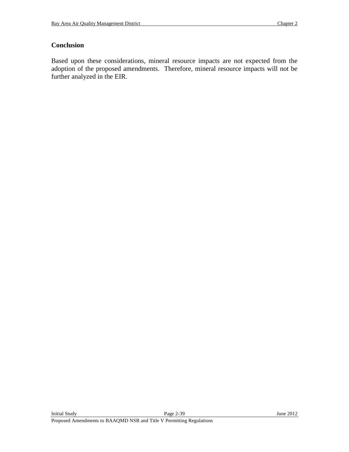## **Conclusion**

Based upon these considerations, mineral resource impacts are not expected from the adoption of the proposed amendments. Therefore, mineral resource impacts will not be further analyzed in the EIR.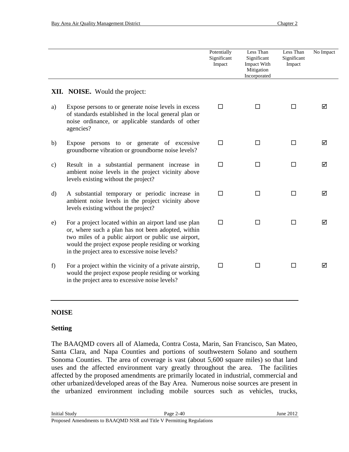|               |                                                                                                                                                                                                                                                                              | Potentially<br>Significant<br>Impact | Less Than<br>Significant<br>Impact With<br>Mitigation<br>Incorporated | Less Than<br>Significant<br>Impact | No Impact |
|---------------|------------------------------------------------------------------------------------------------------------------------------------------------------------------------------------------------------------------------------------------------------------------------------|--------------------------------------|-----------------------------------------------------------------------|------------------------------------|-----------|
|               | <b>XII. NOISE.</b> Would the project:                                                                                                                                                                                                                                        |                                      |                                                                       |                                    |           |
| a)            | Expose persons to or generate noise levels in excess<br>of standards established in the local general plan or<br>noise ordinance, or applicable standards of other<br>agencies?                                                                                              | $\Box$                               | □                                                                     | $\Box$                             | ☑         |
| b)            | Expose persons to or generate of excessive<br>groundborne vibration or groundborne noise levels?                                                                                                                                                                             | $\Box$                               | □                                                                     | $\Box$                             | ☑         |
| $\mathbf{c})$ | Result in a substantial permanent increase in<br>ambient noise levels in the project vicinity above<br>levels existing without the project?                                                                                                                                  | $\Box$                               | □                                                                     | П                                  | ☑         |
| $\rm d)$      | A substantial temporary or periodic increase in<br>ambient noise levels in the project vicinity above<br>levels existing without the project?                                                                                                                                | $\Box$                               | □                                                                     | $\Box$                             | ☑         |
| e)            | For a project located within an airport land use plan<br>or, where such a plan has not been adopted, within<br>two miles of a public airport or public use airport,<br>would the project expose people residing or working<br>in the project area to excessive noise levels? | $\Box$                               | П                                                                     | $\Box$                             | ⊠         |
| f)            | For a project within the vicinity of a private airstrip,<br>would the project expose people residing or working<br>in the project area to excessive noise levels?                                                                                                            | $\Box$                               | Ш                                                                     | $\Box$                             | ☑         |

#### **NOISE**

#### **Setting**

The BAAQMD covers all of Alameda, Contra Costa, Marin, San Francisco, San Mateo, Santa Clara, and Napa Counties and portions of southwestern Solano and southern Sonoma Counties. The area of coverage is vast (about 5,600 square miles) so that land uses and the affected environment vary greatly throughout the area. The facilities affected by the proposed amendments are primarily located in industrial, commercial and other urbanized/developed areas of the Bay Area. Numerous noise sources are present in the urbanized environment including mobile sources such as vehicles, trucks,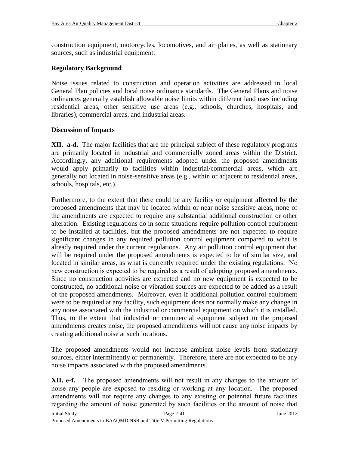construction equipment, motorcycles, locomotives, and air planes, as well as stationary sources, such as industrial equipment.

# **Regulatory Background**

Noise issues related to construction and operation activities are addressed in local General Plan policies and local noise ordinance standards. The General Plans and noise ordinances generally establish allowable noise limits within different land uses including residential areas, other sensitive use areas (e.g., schools, churches, hospitals, and libraries), commercial areas, and industrial areas.

# **Discussion of Impacts**

**XII. a-d.** The major facilities that are the principal subject of these regulatory programs are primarily located in industrial and commercially zoned areas within the District. Accordingly, any additional requirements adopted under the proposed amendments would apply primarily to facilities within industrial/commercial areas, which are generally not located in noise-sensitive areas (e.g., within or adjacent to residential areas, schools, hospitals, etc.).

Furthermore, to the extent that there could be any facility or equipment affected by the proposed amendments that may be located within or near noise sensitive areas, none of the amendments are expected to require any substantial additional construction or other alteration. Existing regulations do in some situations require pollution control equipment to be installed at facilities, but the proposed amendments are not expected to require significant changes in any required pollution control equipment compared to what is already required under the current regulations. Any air pollution control equipment that will be required under the proposed amendments is expected to be of similar size, and located in similar areas, as what is currently required under the existing regulations. No new construction is expected to be required as a result of adopting proposed amendments. Since no construction activities are expected and no new equipment is expected to be constructed, no additional noise or vibration sources are expected to be added as a result of the proposed amendments. Moreover, even if additional pollution control equipment were to be required at any facility, such equipment does not normally make any change in any noise associated with the industrial or commercial equipment on which it is installed. Thus, to the extent that industrial or commercial equipment subject to the proposed amendments creates noise, the proposed amendments will not cause any noise impacts by creating additional noise at such locations.

The proposed amendments would not increase ambient noise levels from stationary sources, either intermittently or permanently. Therefore, there are not expected to be any noise impacts associated with the proposed amendments.

**XII. e-f.** The proposed amendments will not result in any changes to the amount of noise any people are exposed to residing or working at any location. The proposed amendments will not require any changes to any existing or potential future facilities regarding the amount of noise generated by such facilities or the amount of noise that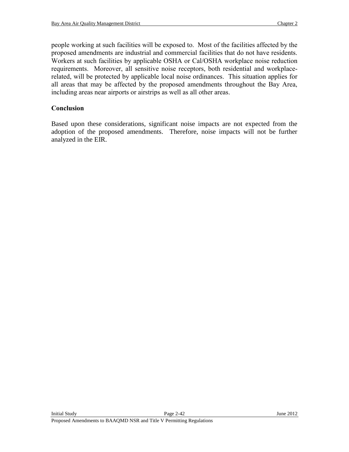people working at such facilities will be exposed to. Most of the facilities affected by the proposed amendments are industrial and commercial facilities that do not have residents. Workers at such facilities by applicable OSHA or Cal/OSHA workplace noise reduction requirements. Moreover, all sensitive noise receptors, both residential and workplacerelated, will be protected by applicable local noise ordinances. This situation applies for all areas that may be affected by the proposed amendments throughout the Bay Area, including areas near airports or airstrips as well as all other areas.

# **Conclusion**

Based upon these considerations, significant noise impacts are not expected from the adoption of the proposed amendments. Therefore, noise impacts will not be further analyzed in the EIR.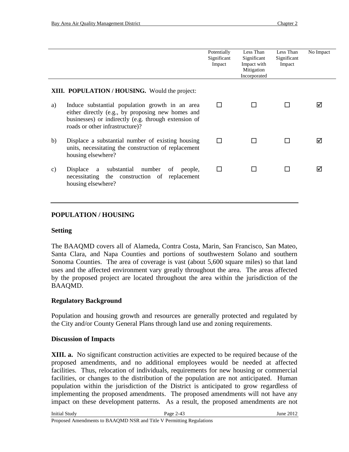|    |                                                                                                                                                                                                 | Potentially<br>Significant<br>Impact | Less Than<br>Significant<br>Impact with<br>Mitigation<br>Incorporated | Less Than<br>Significant<br>Impact | No Impact |
|----|-------------------------------------------------------------------------------------------------------------------------------------------------------------------------------------------------|--------------------------------------|-----------------------------------------------------------------------|------------------------------------|-----------|
|    | <b>XIII. POPULATION/HOUSING.</b> Would the project:                                                                                                                                             |                                      |                                                                       |                                    |           |
| a) | Induce substantial population growth in an area<br>either directly (e.g., by proposing new homes and<br>businesses) or indirectly (e.g. through extension of<br>roads or other infrastructure)? |                                      |                                                                       |                                    | ⋈         |
| b) | Displace a substantial number of existing housing<br>units, necessitating the construction of replacement<br>housing elsewhere?                                                                 |                                      |                                                                       |                                    | ☑         |
| C) | Displace a substantial number<br>of<br>people,<br>necessitating the construction of replacement<br>housing elsewhere?                                                                           |                                      |                                                                       |                                    | ☑         |

## **POPULATION / HOUSING**

#### **Setting**

The BAAQMD covers all of Alameda, Contra Costa, Marin, San Francisco, San Mateo, Santa Clara, and Napa Counties and portions of southwestern Solano and southern Sonoma Counties. The area of coverage is vast (about 5,600 square miles) so that land uses and the affected environment vary greatly throughout the area. The areas affected by the proposed project are located throughout the area within the jurisdiction of the BAAQMD.

#### **Regulatory Background**

Population and housing growth and resources are generally protected and regulated by the City and/or County General Plans through land use and zoning requirements.

#### **Discussion of Impacts**

**XIII. a.** No significant construction activities are expected to be required because of the proposed amendments, and no additional employees would be needed at affected facilities. Thus, relocation of individuals, requirements for new housing or commercial facilities, or changes to the distribution of the population are not anticipated. Human population within the jurisdiction of the District is anticipated to grow regardless of implementing the proposed amendments. The proposed amendments will not have any impact on these development patterns. As a result, the proposed amendments are not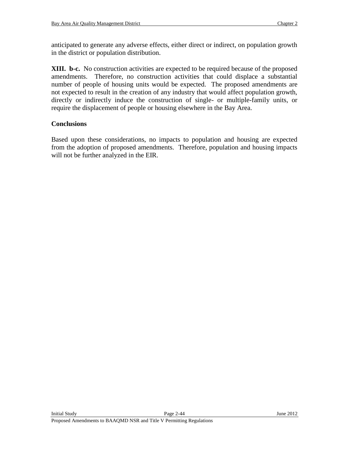anticipated to generate any adverse effects, either direct or indirect, on population growth in the district or population distribution.

**XIII. b-c.** No construction activities are expected to be required because of the proposed amendments. Therefore, no construction activities that could displace a substantial number of people of housing units would be expected. The proposed amendments are not expected to result in the creation of any industry that would affect population growth, directly or indirectly induce the construction of single- or multiple-family units, or require the displacement of people or housing elsewhere in the Bay Area.

## **Conclusions**

Based upon these considerations, no impacts to population and housing are expected from the adoption of proposed amendments. Therefore, population and housing impacts will not be further analyzed in the EIR.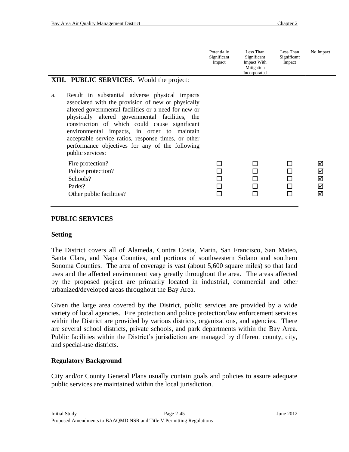| <b>XIII. PUBLIC SERVICES.</b> Would the project:                                                                                                                                                                                                                                                                                                                                                                                                    | Potentially<br>Significant<br>Impact | Less Than<br>Significant<br>Impact With<br>Mitigation<br>Incorporated | Less Than<br>Significant<br>Impact | No Impact             |
|-----------------------------------------------------------------------------------------------------------------------------------------------------------------------------------------------------------------------------------------------------------------------------------------------------------------------------------------------------------------------------------------------------------------------------------------------------|--------------------------------------|-----------------------------------------------------------------------|------------------------------------|-----------------------|
| Result in substantial adverse physical impacts<br>a.<br>associated with the provision of new or physically<br>altered governmental facilities or a need for new or<br>physically altered governmental facilities, the<br>construction of which could cause significant<br>environmental impacts, in order to maintain<br>acceptable service ratios, response times, or other<br>performance objectives for any of the following<br>public services: |                                      |                                                                       |                                    |                       |
| Fire protection?<br>Police protection?<br>Schools?<br>Parks?<br>Other public facilities?                                                                                                                                                                                                                                                                                                                                                            | П<br>$\mathbf{L}$                    |                                                                       |                                    | ⊠<br>⊠<br>⊠<br>☑<br>☑ |

#### **PUBLIC SERVICES**

#### **Setting**

The District covers all of Alameda, Contra Costa, Marin, San Francisco, San Mateo, Santa Clara, and Napa Counties, and portions of southwestern Solano and southern Sonoma Counties. The area of coverage is vast (about 5,600 square miles) so that land uses and the affected environment vary greatly throughout the area. The areas affected by the proposed project are primarily located in industrial, commercial and other urbanized/developed areas throughout the Bay Area.

Given the large area covered by the District, public services are provided by a wide variety of local agencies. Fire protection and police protection/law enforcement services within the District are provided by various districts, organizations, and agencies. There are several school districts, private schools, and park departments within the Bay Area. Public facilities within the District's jurisdiction are managed by different county, city, and special-use districts.

#### **Regulatory Background**

City and/or County General Plans usually contain goals and policies to assure adequate public services are maintained within the local jurisdiction.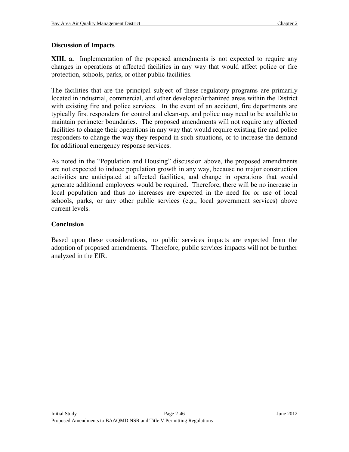## **Discussion of Impacts**

**XIII. a.** Implementation of the proposed amendments is not expected to require any changes in operations at affected facilities in any way that would affect police or fire protection, schools, parks, or other public facilities.

The facilities that are the principal subject of these regulatory programs are primarily located in industrial, commercial, and other developed/urbanized areas within the District with existing fire and police services. In the event of an accident, fire departments are typically first responders for control and clean-up, and police may need to be available to maintain perimeter boundaries. The proposed amendments will not require any affected facilities to change their operations in any way that would require existing fire and police responders to change the way they respond in such situations, or to increase the demand for additional emergency response services.

As noted in the "Population and Housing" discussion above, the proposed amendments are not expected to induce population growth in any way, because no major construction activities are anticipated at affected facilities, and change in operations that would generate additional employees would be required. Therefore, there will be no increase in local population and thus no increases are expected in the need for or use of local schools, parks, or any other public services (e.g., local government services) above current levels.

# **Conclusion**

Based upon these considerations, no public services impacts are expected from the adoption of proposed amendments. Therefore, public services impacts will not be further analyzed in the EIR.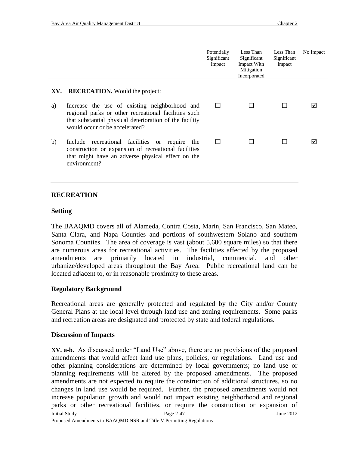|     |                                                                                                                                                                                                    | Potentially<br>Significant<br>Impact | Less Than<br>Significant<br>Impact With<br>Mitigation<br>Incorporated | Less Than<br>Significant<br>Impact | No Impact |
|-----|----------------------------------------------------------------------------------------------------------------------------------------------------------------------------------------------------|--------------------------------------|-----------------------------------------------------------------------|------------------------------------|-----------|
| XV. | <b>RECREATION.</b> Would the project:                                                                                                                                                              |                                      |                                                                       |                                    |           |
| a)  | Increase the use of existing neighborhood and<br>regional parks or other recreational facilities such<br>that substantial physical deterioration of the facility<br>would occur or be accelerated? | $\mathsf{L}$                         |                                                                       |                                    | ⋈         |
| b)  | Include recreational facilities or<br>require<br>the<br>construction or expansion of recreational facilities<br>that might have an adverse physical effect on the<br>environment?                  | $\mathsf{L}$                         |                                                                       |                                    | ⋈         |

### **RECREATION**

#### **Setting**

The BAAQMD covers all of Alameda, Contra Costa, Marin, San Francisco, San Mateo, Santa Clara, and Napa Counties and portions of southwestern Solano and southern Sonoma Counties. The area of coverage is vast (about 5,600 square miles) so that there are numerous areas for recreational activities. The facilities affected by the proposed amendments are primarily located in industrial, commercial, and other urbanize/developed areas throughout the Bay Area. Public recreational land can be located adjacent to, or in reasonable proximity to these areas.

#### **Regulatory Background**

Recreational areas are generally protected and regulated by the City and/or County General Plans at the local level through land use and zoning requirements. Some parks and recreation areas are designated and protected by state and federal regulations.

#### **Discussion of Impacts**

Initial Study **Page 2-47** June 2012 **XV. a-b.** As discussed under "Land Use" above, there are no provisions of the proposed amendments that would affect land use plans, policies, or regulations. Land use and other planning considerations are determined by local governments; no land use or planning requirements will be altered by the proposed amendments. The proposed amendments are not expected to require the construction of additional structures, so no changes in land use would be required. Further, the proposed amendments would not increase population growth and would not impact existing neighborhood and regional parks or other recreational facilities, or require the construction or expansion of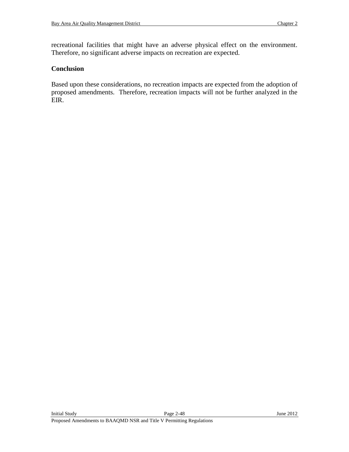recreational facilities that might have an adverse physical effect on the environment. Therefore, no significant adverse impacts on recreation are expected.

### **Conclusion**

Based upon these considerations, no recreation impacts are expected from the adoption of proposed amendments. Therefore, recreation impacts will not be further analyzed in the EIR.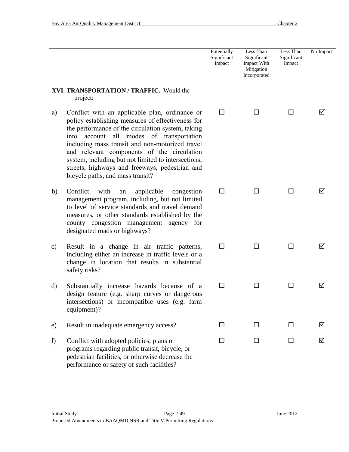|                                                      |                                                                                                                                                                                                                                                                                                                                                                                                                                                    | Potentially<br>Significant<br>Impact | Less Than<br>Significant<br>Impact With<br>Mitigation<br>Incorporated | Less Than<br>Significant<br>Impact | No Impact |
|------------------------------------------------------|----------------------------------------------------------------------------------------------------------------------------------------------------------------------------------------------------------------------------------------------------------------------------------------------------------------------------------------------------------------------------------------------------------------------------------------------------|--------------------------------------|-----------------------------------------------------------------------|------------------------------------|-----------|
| XVI. TRANSPORTATION / TRAFFIC. Would the<br>project: |                                                                                                                                                                                                                                                                                                                                                                                                                                                    |                                      |                                                                       |                                    |           |
| a)                                                   | Conflict with an applicable plan, ordinance or<br>policy establishing measures of effectiveness for<br>the performance of the circulation system, taking<br>into account all modes of transportation<br>including mass transit and non-motorized travel<br>and relevant components of the circulation<br>system, including but not limited to intersections,<br>streets, highways and freeways, pedestrian and<br>bicycle paths, and mass transit? | ΙI                                   | ΙI                                                                    | H                                  | ☑         |
| b)                                                   | Conflict<br>with<br>applicable<br>congestion<br>an<br>management program, including, but not limited<br>to level of service standards and travel demand<br>measures, or other standards established by the<br>county congestion management agency for<br>designated roads or highways?                                                                                                                                                             | ΙI                                   |                                                                       | ΙI                                 | ⋈         |
| c)                                                   | Result in a change in air traffic patterns,<br>including either an increase in traffic levels or a<br>change in location that results in substantial<br>safety risks?                                                                                                                                                                                                                                                                              | □                                    | H                                                                     | ΙI                                 | ⋈         |
| $\mathbf{d}$                                         | Substantially increase hazards because of a<br>design feature (e.g. sharp curves or dangerous<br>intersections) or incompatible uses (e.g. farm<br>equipment)?                                                                                                                                                                                                                                                                                     | П                                    | H                                                                     | ΙI                                 | ☑         |
| e)                                                   | Result in inadequate emergency access?                                                                                                                                                                                                                                                                                                                                                                                                             | ப                                    | ΙI                                                                    | □                                  | ☑         |
| f)                                                   | Conflict with adopted policies, plans or<br>programs regarding public transit, bicycle, or<br>pedestrian facilities, or otherwise decrease the<br>performance or safety of such facilities?                                                                                                                                                                                                                                                        | П                                    | П                                                                     | □                                  | ☑         |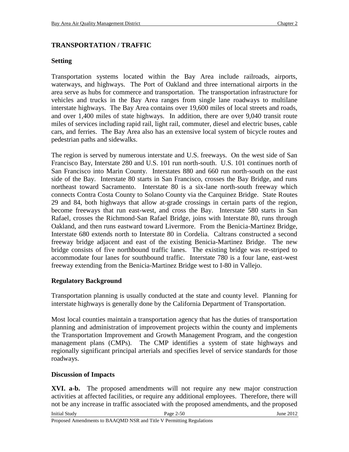## **TRANSPORTATION / TRAFFIC**

## **Setting**

Transportation systems located within the Bay Area include railroads, airports, waterways, and highways. The Port of Oakland and three international airports in the area serve as hubs for commerce and transportation. The transportation infrastructure for vehicles and trucks in the Bay Area ranges from single lane roadways to multilane interstate highways. The Bay Area contains over 19,600 miles of local streets and roads, and over 1,400 miles of state highways. In addition, there are over 9,040 transit route miles of services including rapid rail, light rail, commuter, diesel and electric buses, cable cars, and ferries. The Bay Area also has an extensive local system of bicycle routes and pedestrian paths and sidewalks.

The region is served by numerous interstate and U.S. freeways. On the west side of San Francisco Bay, Interstate 280 and U.S. 101 run north-south. U.S. 101 continues north of San Francisco into Marin County. Interstates 880 and 660 run north-south on the east side of the Bay. Interstate 80 starts in San Francisco, crosses the Bay Bridge, and runs northeast toward Sacramento. Interstate 80 is a six-lane north-south freeway which connects Contra Costa County to Solano County via the Carquinez Bridge. State Routes 29 and 84, both highways that allow at-grade crossings in certain parts of the region, become freeways that run east-west, and cross the Bay. Interstate 580 starts in San Rafael, crosses the Richmond-San Rafael Bridge, joins with Interstate 80, runs through Oakland, and then runs eastward toward Livermore. From the Benicia-Martinez Bridge, Interstate 680 extends north to Interstate 80 in Cordelia. Caltrans constructed a second freeway bridge adjacent and east of the existing Benicia-Martinez Bridge. The new bridge consists of five northbound traffic lanes. The existing bridge was re-striped to accommodate four lanes for southbound traffic. Interstate 780 is a four lane, east-west freeway extending from the Benicia-Martinez Bridge west to I-80 in Vallejo.

# **Regulatory Background**

Transportation planning is usually conducted at the state and county level. Planning for interstate highways is generally done by the California Department of Transportation.

Most local counties maintain a transportation agency that has the duties of transportation planning and administration of improvement projects within the county and implements the Transportation Improvement and Growth Management Program, and the congestion management plans (CMPs). The CMP identifies a system of state highways and regionally significant principal arterials and specifies level of service standards for those roadways.

## **Discussion of Impacts**

**XVI. a-b.** The proposed amendments will not require any new major construction activities at affected facilities, or require any additional employees. Therefore, there will not be any increase in traffic associated with the proposed amendments, and the proposed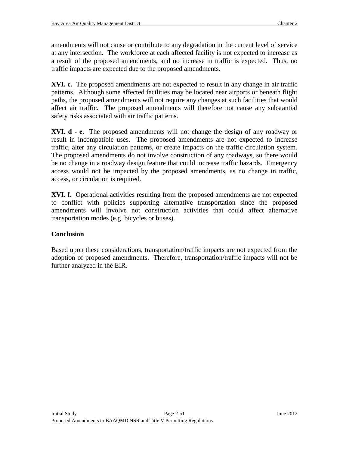amendments will not cause or contribute to any degradation in the current level of service at any intersection. The workforce at each affected facility is not expected to increase as a result of the proposed amendments, and no increase in traffic is expected. Thus, no traffic impacts are expected due to the proposed amendments.

**XVI. c.** The proposed amendments are not expected to result in any change in air traffic patterns. Although some affected facilities may be located near airports or beneath flight paths, the proposed amendments will not require any changes at such facilities that would affect air traffic. The proposed amendments will therefore not cause any substantial safety risks associated with air traffic patterns.

**XVI. d - e.** The proposed amendments will not change the design of any roadway or result in incompatible uses. The proposed amendments are not expected to increase traffic, alter any circulation patterns, or create impacts on the traffic circulation system. The proposed amendments do not involve construction of any roadways, so there would be no change in a roadway design feature that could increase traffic hazards. Emergency access would not be impacted by the proposed amendments, as no change in traffic, access, or circulation is required.

**XVI. f.** Operational activities resulting from the proposed amendments are not expected to conflict with policies supporting alternative transportation since the proposed amendments will involve not construction activities that could affect alternative transportation modes (e.g. bicycles or buses).

# **Conclusion**

Based upon these considerations, transportation/traffic impacts are not expected from the adoption of proposed amendments. Therefore, transportation/traffic impacts will not be further analyzed in the EIR.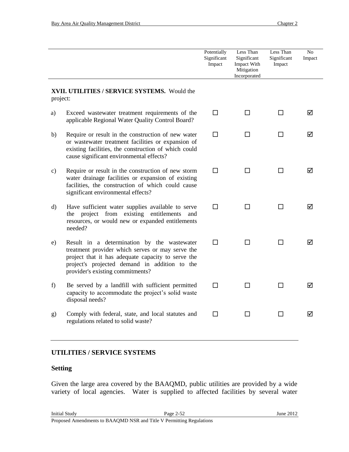|                                                          |                                                                                                                                                                                                                                            | Potentially<br>Significant<br>Impact | Less Than<br>Significant<br>Impact With<br>Mitigation<br>Incorporated | Less Than<br>Significant<br>Impact | N <sub>o</sub><br>Impact |
|----------------------------------------------------------|--------------------------------------------------------------------------------------------------------------------------------------------------------------------------------------------------------------------------------------------|--------------------------------------|-----------------------------------------------------------------------|------------------------------------|--------------------------|
| XVII. UTILITIES / SERVICE SYSTEMS. Would the<br>project: |                                                                                                                                                                                                                                            |                                      |                                                                       |                                    |                          |
| a)                                                       | Exceed wastewater treatment requirements of the<br>applicable Regional Water Quality Control Board?                                                                                                                                        | п                                    | ΙI                                                                    | П                                  | ☑                        |
| b)                                                       | Require or result in the construction of new water<br>or wastewater treatment facilities or expansion of<br>existing facilities, the construction of which could<br>cause significant environmental effects?                               | □                                    | □                                                                     | □                                  | ☑                        |
| $\mathbf{c})$                                            | Require or result in the construction of new storm<br>water drainage facilities or expansion of existing<br>facilities, the construction of which could cause<br>significant environmental effects?                                        | п                                    | П                                                                     | П                                  | ☑                        |
| $\rm d)$                                                 | Have sufficient water supplies available to serve<br>the project from existing entitlements<br>and<br>resources, or would new or expanded entitlements<br>needed?                                                                          | П                                    | ΙI                                                                    | П                                  | ☑                        |
| e)                                                       | Result in a determination by the wastewater<br>treatment provider which serves or may serve the<br>project that it has adequate capacity to serve the<br>project's projected demand in addition to the<br>provider's existing commitments? | □                                    | П                                                                     | П                                  | ☑                        |
| f                                                        | Be served by a landfill with sufficient permitted<br>capacity to accommodate the project's solid waste<br>disposal needs?                                                                                                                  | п                                    | П                                                                     | П                                  | ☑                        |
| g)                                                       | Comply with federal, state, and local statutes and<br>regulations related to solid waste?                                                                                                                                                  | п                                    | П                                                                     | П                                  | ☑                        |

## **UTILITIES / SERVICE SYSTEMS**

## **Setting**

Given the large area covered by the BAAQMD, public utilities are provided by a wide variety of local agencies. Water is supplied to affected facilities by several water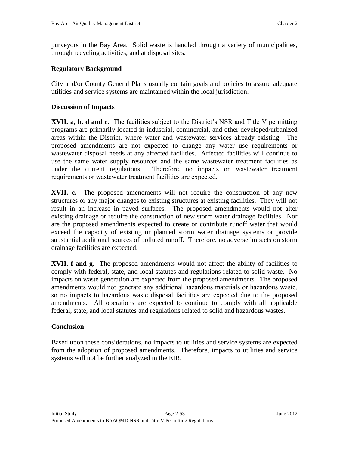purveyors in the Bay Area. Solid waste is handled through a variety of municipalities, through recycling activities, and at disposal sites.

### **Regulatory Background**

City and/or County General Plans usually contain goals and policies to assure adequate utilities and service systems are maintained within the local jurisdiction.

### **Discussion of Impacts**

**XVII. a, b, d and e.** The facilities subject to the District's NSR and Title V permitting programs are primarily located in industrial, commercial, and other developed/urbanized areas within the District, where water and wastewater services already existing. The proposed amendments are not expected to change any water use requirements or wastewater disposal needs at any affected facilities. Affected facilities will continue to use the same water supply resources and the same wastewater treatment facilities as under the current regulations. Therefore, no impacts on wastewater treatment requirements or wastewater treatment facilities are expected.

**XVII. c.** The proposed amendments will not require the construction of any new structures or any major changes to existing structures at existing facilities. They will not result in an increase in paved surfaces. The proposed amendments would not alter existing drainage or require the construction of new storm water drainage facilities. Nor are the proposed amendments expected to create or contribute runoff water that would exceed the capacity of existing or planned storm water drainage systems or provide substantial additional sources of polluted runoff. Therefore, no adverse impacts on storm drainage facilities are expected.

**XVII. f and g.** The proposed amendments would not affect the ability of facilities to comply with federal, state, and local statutes and regulations related to solid waste. No impacts on waste generation are expected from the proposed amendments. The proposed amendments would not generate any additional hazardous materials or hazardous waste, so no impacts to hazardous waste disposal facilities are expected due to the proposed amendments. All operations are expected to continue to comply with all applicable federal, state, and local statutes and regulations related to solid and hazardous wastes.

#### **Conclusion**

Based upon these considerations, no impacts to utilities and service systems are expected from the adoption of proposed amendments. Therefore, impacts to utilities and service systems will not be further analyzed in the EIR.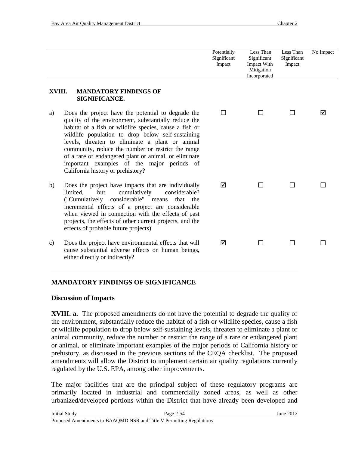|                                                                                                                                                                                                                                                                                                                                                                                                                                                                                      | Potentially<br>Significant<br>Impact | Less Than<br>Significant<br>Impact With<br>Mitigation<br>Incorporated | Less Than<br>Significant<br>Impact | No Impact |
|--------------------------------------------------------------------------------------------------------------------------------------------------------------------------------------------------------------------------------------------------------------------------------------------------------------------------------------------------------------------------------------------------------------------------------------------------------------------------------------|--------------------------------------|-----------------------------------------------------------------------|------------------------------------|-----------|
| XVIII.<br><b>MANDATORY FINDINGS OF</b><br>SIGNIFICANCE.                                                                                                                                                                                                                                                                                                                                                                                                                              |                                      |                                                                       |                                    |           |
| Does the project have the potential to degrade the<br>a)<br>quality of the environment, substantially reduce the<br>habitat of a fish or wildlife species, cause a fish or<br>wildlife population to drop below self-sustaining<br>levels, threaten to eliminate a plant or animal<br>community, reduce the number or restrict the range<br>of a rare or endangered plant or animal, or eliminate<br>important examples of the major periods of<br>California history or prehistory? | П                                    | П                                                                     | ΙI                                 | ⋈         |
| b)<br>Does the project have impacts that are individually<br>limited,<br>cumulatively<br>considerable?<br>but<br>considerable" means<br>("Cumulatively<br>that<br>the<br>incremental effects of a project are considerable<br>when viewed in connection with the effects of past<br>projects, the effects of other current projects, and the<br>effects of probable future projects)                                                                                                 | ⊠                                    |                                                                       |                                    |           |
| Does the project have environmental effects that will<br>$\mathbf{c})$<br>cause substantial adverse effects on human beings,<br>either directly or indirectly?                                                                                                                                                                                                                                                                                                                       | ☑                                    |                                                                       |                                    |           |

## **MANDATORY FINDINGS OF SIGNIFICANCE**

## **Discussion of Impacts**

**XVIII. a.** The proposed amendments do not have the potential to degrade the quality of the environment, substantially reduce the habitat of a fish or wildlife species, cause a fish or wildlife population to drop below self-sustaining levels, threaten to eliminate a plant or animal community, reduce the number or restrict the range of a rare or endangered plant or animal, or eliminate important examples of the major periods of California history or prehistory, as discussed in the previous sections of the CEQA checklist. The proposed amendments will allow the District to implement certain air quality regulations currently regulated by the U.S. EPA, among other improvements.

The major facilities that are the principal subject of these regulatory programs are primarily located in industrial and commercially zoned areas, as well as other urbanized/developed portions within the District that have already been developed and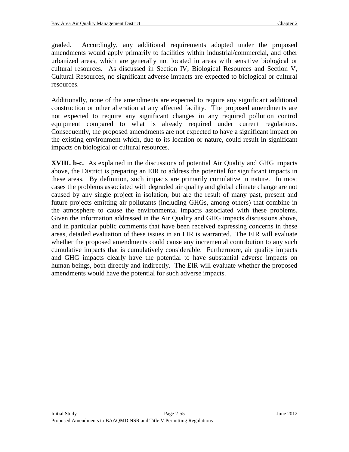graded. Accordingly, any additional requirements adopted under the proposed amendments would apply primarily to facilities within industrial/commercial, and other urbanized areas, which are generally not located in areas with sensitive biological or cultural resources. As discussed in Section IV, Biological Resources and Section V, Cultural Resources, no significant adverse impacts are expected to biological or cultural resources.

Additionally, none of the amendments are expected to require any significant additional construction or other alteration at any affected facility. The proposed amendments are not expected to require any significant changes in any required pollution control equipment compared to what is already required under current regulations. Consequently, the proposed amendments are not expected to have a significant impact on the existing environment which, due to its location or nature, could result in significant impacts on biological or cultural resources.

**XVIII. b-c.** As explained in the discussions of potential Air Quality and GHG impacts above, the District is preparing an EIR to address the potential for significant impacts in these areas. By definition, such impacts are primarily cumulative in nature. In most cases the problems associated with degraded air quality and global climate change are not caused by any single project in isolation, but are the result of many past, present and future projects emitting air pollutants (including GHGs, among others) that combine in the atmosphere to cause the environmental impacts associated with these problems. Given the information addressed in the Air Quality and GHG impacts discussions above, and in particular public comments that have been received expressing concerns in these areas, detailed evaluation of these issues in an EIR is warranted. The EIR will evaluate whether the proposed amendments could cause any incremental contribution to any such cumulative impacts that is cumulatively considerable. Furthermore, air quality impacts and GHG impacts clearly have the potential to have substantial adverse impacts on human beings, both directly and indirectly. The EIR will evaluate whether the proposed amendments would have the potential for such adverse impacts.